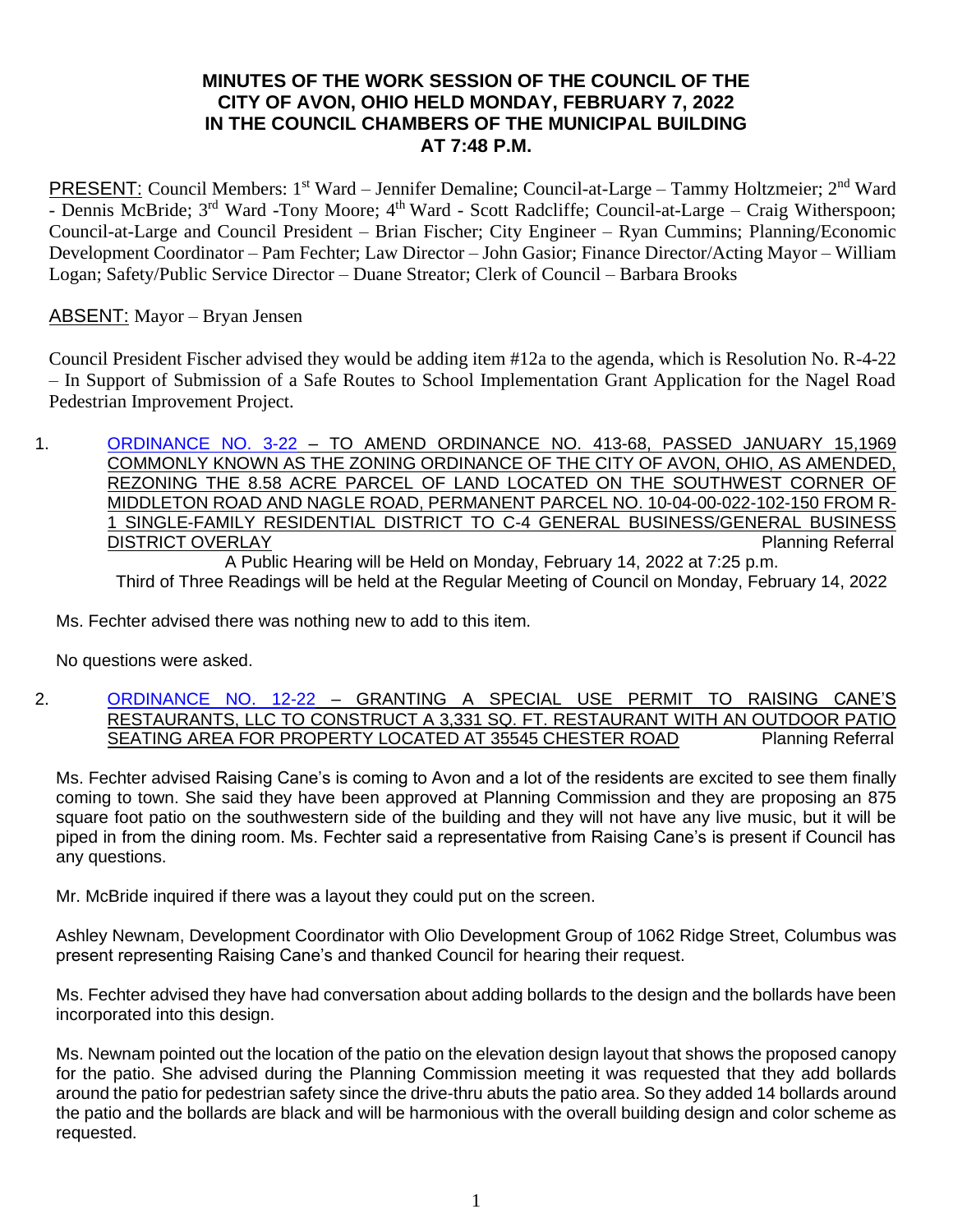# **MINUTES OF THE WORK SESSION OF THE COUNCIL OF THE CITY OF AVON, OHIO HELD MONDAY, FEBRUARY 7, 2022 IN THE COUNCIL CHAMBERS OF THE MUNICIPAL BUILDING AT 7:48 P.M.**

PRESENT: Council Members: 1<sup>st</sup> Ward – Jennifer Demaline; Council-at-Large – Tammy Holtzmeier; 2<sup>nd</sup> Ward - Dennis McBride; 3<sup>rd</sup> Ward -Tony Moore; 4<sup>th</sup> Ward - Scott Radcliffe; Council-at-Large – Craig Witherspoon; Council-at-Large and Council President – Brian Fischer; City Engineer – Ryan Cummins; Planning/Economic Development Coordinator – Pam Fechter; Law Director – John Gasior; Finance Director/Acting Mayor – William Logan; Safety/Public Service Director – Duane Streator; Clerk of Council – Barbara Brooks

## ABSENT: Mayor – Bryan Jensen

Council President Fischer advised they would be adding item #12a to the agenda, which is Resolution No. R-4-22 – In Support of Submission of a Safe Routes to School Implementation Grant Application for the Nagel Road Pedestrian Improvement Project.

1. [ORDINANCE NO. 3-22](https://www.cityofavon.com/DocumentCenter/View/7510/Ordinance-No-3-22-jag-Rezoning---LIG-Land-LLC) - TO AMEND ORDINANCE NO. 413-68, PASSED JANUARY 15,1969 COMMONLY KNOWN AS THE ZONING ORDINANCE OF THE CITY OF AVON, OHIO, AS AMENDED, REZONING THE 8.58 ACRE PARCEL OF LAND LOCATED ON THE SOUTHWEST CORNER OF MIDDLETON ROAD AND NAGLE ROAD, PERMANENT PARCEL NO. 10-04-00-022-102-150 FROM R-1 SINGLE-FAMILY RESIDENTIAL DISTRICT TO C-4 GENERAL BUSINESS/GENERAL BUSINESS DISTRICT OVERLAY **Planning Referral** A Public Hearing will be Held on Monday, February 14, 2022 at 7:25 p.m. Third of Three Readings will be held at the Regular Meeting of Council on Monday, February 14, 2022

Ms. Fechter advised there was nothing new to add to this item.

No questions were asked.

#### 2. [ORDINANCE NO. 12-22](https://www.cityofavon.com/DocumentCenter/View/7598/Ordinance-No-12-22---Raising-Cane-SUP_) - GRANTING A SPECIAL USE PERMIT TO RAISING CANE'S RESTAURANTS, LLC TO CONSTRUCT A 3,331 SQ. FT. RESTAURANT WITH AN OUTDOOR PATIO SEATING AREA FOR PROPERTY LOCATED AT 35545 CHESTER ROAD Planning Referral

Ms. Fechter advised Raising Cane's is coming to Avon and a lot of the residents are excited to see them finally coming to town. She said they have been approved at Planning Commission and they are proposing an 875 square foot patio on the southwestern side of the building and they will not have any live music, but it will be piped in from the dining room. Ms. Fechter said a representative from Raising Cane's is present if Council has any questions.

Mr. McBride inquired if there was a layout they could put on the screen.

Ashley Newnam, Development Coordinator with Olio Development Group of 1062 Ridge Street, Columbus was present representing Raising Cane's and thanked Council for hearing their request.

Ms. Fechter advised they have had conversation about adding bollards to the design and the bollards have been incorporated into this design.

Ms. Newnam pointed out the location of the patio on the elevation design layout that shows the proposed canopy for the patio. She advised during the Planning Commission meeting it was requested that they add bollards around the patio for pedestrian safety since the drive-thru abuts the patio area. So they added 14 bollards around the patio and the bollards are black and will be harmonious with the overall building design and color scheme as requested.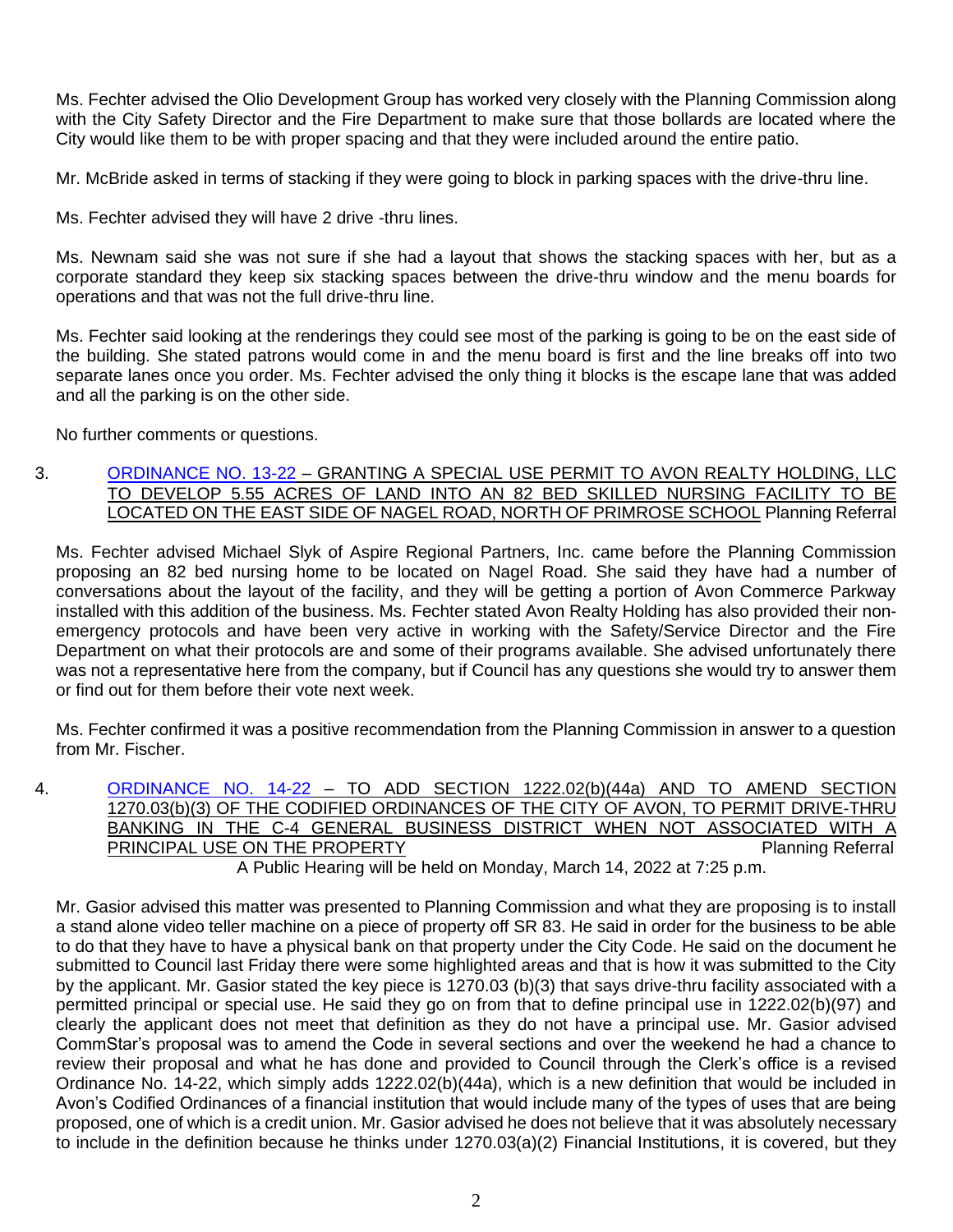Ms. Fechter advised the Olio Development Group has worked very closely with the Planning Commission along with the City Safety Director and the Fire Department to make sure that those bollards are located where the City would like them to be with proper spacing and that they were included around the entire patio.

Mr. McBride asked in terms of stacking if they were going to block in parking spaces with the drive-thru line.

Ms. Fechter advised they will have 2 drive -thru lines.

Ms. Newnam said she was not sure if she had a layout that shows the stacking spaces with her, but as a corporate standard they keep six stacking spaces between the drive-thru window and the menu boards for operations and that was not the full drive-thru line.

Ms. Fechter said looking at the renderings they could see most of the parking is going to be on the east side of the building. She stated patrons would come in and the menu board is first and the line breaks off into two separate lanes once you order. Ms. Fechter advised the only thing it blocks is the escape lane that was added and all the parking is on the other side.

No further comments or questions.

### 3. [ORDINANCE NO. 13-22](https://www.cityofavon.com/DocumentCenter/View/7599/Ordinance-No-13-22-Avon-Skilled-Nursing---SUP) – GRANTING A SPECIAL USE PERMIT TO AVON REALTY HOLDING, LLC TO DEVELOP 5.55 ACRES OF LAND INTO AN 82 BED SKILLED NURSING FACILITY TO BE LOCATED ON THE EAST SIDE OF NAGEL ROAD, NORTH OF PRIMROSE SCHOOL Planning Referral

Ms. Fechter advised Michael Slyk of Aspire Regional Partners, Inc. came before the Planning Commission proposing an 82 bed nursing home to be located on Nagel Road. She said they have had a number of conversations about the layout of the facility, and they will be getting a portion of Avon Commerce Parkway installed with this addition of the business. Ms. Fechter stated Avon Realty Holding has also provided their nonemergency protocols and have been very active in working with the Safety/Service Director and the Fire Department on what their protocols are and some of their programs available. She advised unfortunately there was not a representative here from the company, but if Council has any questions she would try to answer them or find out for them before their vote next week.

Ms. Fechter confirmed it was a positive recommendation from the Planning Commission in answer to a question from Mr. Fischer.

4. [ORDINANCE NO. 14-22](https://www.cityofavon.com/DocumentCenter/View/7612/Ordinance-No-14-22-Drive-thru-Teller-Legislation) – TO ADD SECTION 1222.02(b)(44a) AND TO AMEND SECTION 1270.03(b)(3) OF THE CODIFIED ORDINANCES OF THE CITY OF AVON, TO PERMIT DRIVE-THRU BANKING IN THE C-4 GENERAL BUSINESS DISTRICT WHEN NOT ASSOCIATED WITH A PRINCIPAL USE ON THE PROPERTY **PRINCIPAL USE ON THE PROPERTY** 

A Public Hearing will be held on Monday, March 14, 2022 at 7:25 p.m.

Mr. Gasior advised this matter was presented to Planning Commission and what they are proposing is to install a stand alone video teller machine on a piece of property off SR 83. He said in order for the business to be able to do that they have to have a physical bank on that property under the City Code. He said on the document he submitted to Council last Friday there were some highlighted areas and that is how it was submitted to the City by the applicant. Mr. Gasior stated the key piece is 1270.03 (b)(3) that says drive-thru facility associated with a permitted principal or special use. He said they go on from that to define principal use in 1222.02(b)(97) and clearly the applicant does not meet that definition as they do not have a principal use. Mr. Gasior advised CommStar's proposal was to amend the Code in several sections and over the weekend he had a chance to review their proposal and what he has done and provided to Council through the Clerk's office is a revised Ordinance No. 14-22, which simply adds 1222.02(b)(44a), which is a new definition that would be included in Avon's Codified Ordinances of a financial institution that would include many of the types of uses that are being proposed, one of which is a credit union. Mr. Gasior advised he does not believe that it was absolutely necessary to include in the definition because he thinks under 1270.03(a)(2) Financial Institutions, it is covered, but they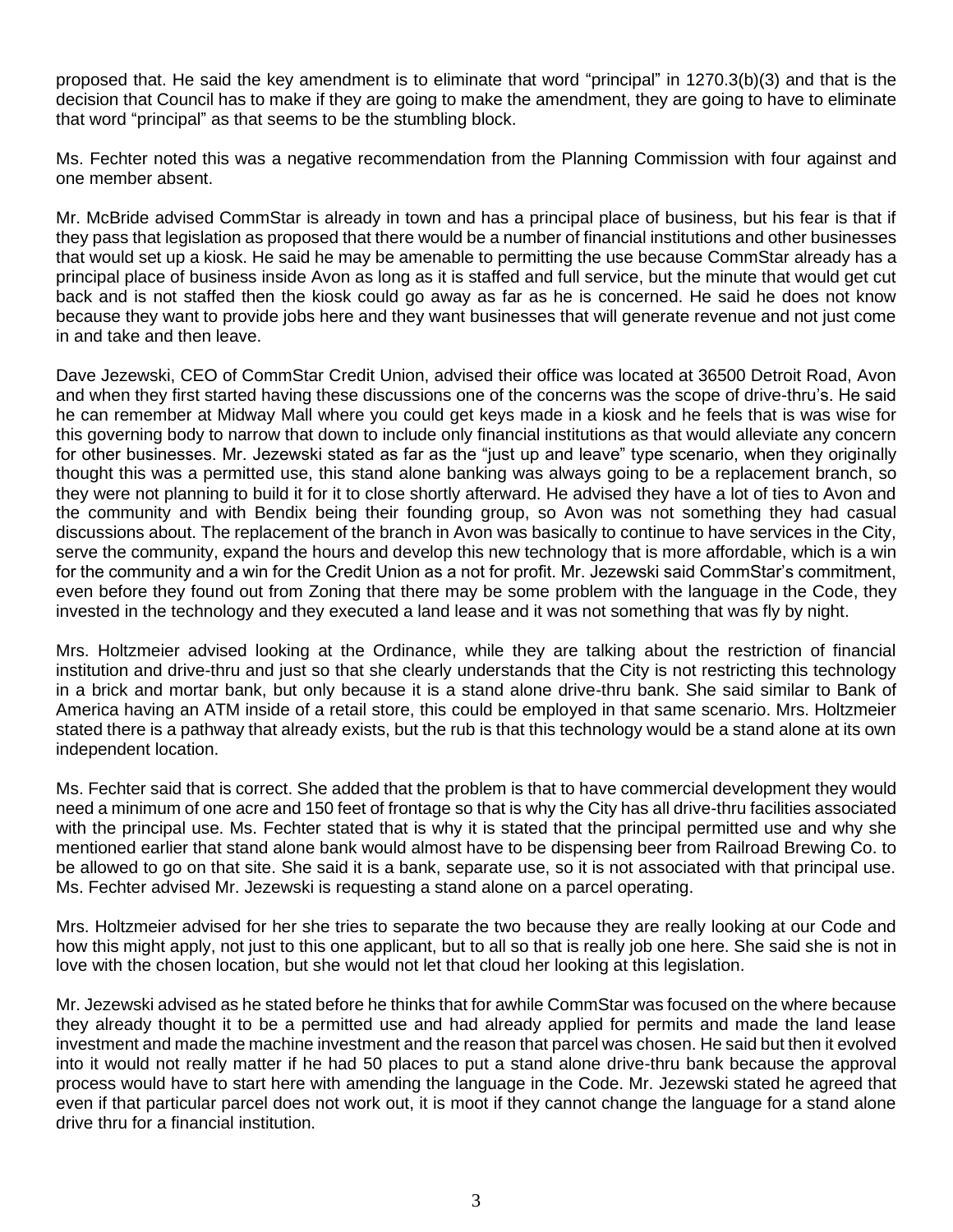proposed that. He said the key amendment is to eliminate that word "principal" in 1270.3(b)(3) and that is the decision that Council has to make if they are going to make the amendment, they are going to have to eliminate that word "principal" as that seems to be the stumbling block.

Ms. Fechter noted this was a negative recommendation from the Planning Commission with four against and one member absent.

Mr. McBride advised CommStar is already in town and has a principal place of business, but his fear is that if they pass that legislation as proposed that there would be a number of financial institutions and other businesses that would set up a kiosk. He said he may be amenable to permitting the use because CommStar already has a principal place of business inside Avon as long as it is staffed and full service, but the minute that would get cut back and is not staffed then the kiosk could go away as far as he is concerned. He said he does not know because they want to provide jobs here and they want businesses that will generate revenue and not just come in and take and then leave.

Dave Jezewski, CEO of CommStar Credit Union, advised their office was located at 36500 Detroit Road, Avon and when they first started having these discussions one of the concerns was the scope of drive-thru's. He said he can remember at Midway Mall where you could get keys made in a kiosk and he feels that is was wise for this governing body to narrow that down to include only financial institutions as that would alleviate any concern for other businesses. Mr. Jezewski stated as far as the "just up and leave" type scenario, when they originally thought this was a permitted use, this stand alone banking was always going to be a replacement branch, so they were not planning to build it for it to close shortly afterward. He advised they have a lot of ties to Avon and the community and with Bendix being their founding group, so Avon was not something they had casual discussions about. The replacement of the branch in Avon was basically to continue to have services in the City, serve the community, expand the hours and develop this new technology that is more affordable, which is a win for the community and a win for the Credit Union as a not for profit. Mr. Jezewski said CommStar's commitment, even before they found out from Zoning that there may be some problem with the language in the Code, they invested in the technology and they executed a land lease and it was not something that was fly by night.

Mrs. Holtzmeier advised looking at the Ordinance, while they are talking about the restriction of financial institution and drive-thru and just so that she clearly understands that the City is not restricting this technology in a brick and mortar bank, but only because it is a stand alone drive-thru bank. She said similar to Bank of America having an ATM inside of a retail store, this could be employed in that same scenario. Mrs. Holtzmeier stated there is a pathway that already exists, but the rub is that this technology would be a stand alone at its own independent location.

Ms. Fechter said that is correct. She added that the problem is that to have commercial development they would need a minimum of one acre and 150 feet of frontage so that is why the City has all drive-thru facilities associated with the principal use. Ms. Fechter stated that is why it is stated that the principal permitted use and why she mentioned earlier that stand alone bank would almost have to be dispensing beer from Railroad Brewing Co. to be allowed to go on that site. She said it is a bank, separate use, so it is not associated with that principal use. Ms. Fechter advised Mr. Jezewski is requesting a stand alone on a parcel operating.

Mrs. Holtzmeier advised for her she tries to separate the two because they are really looking at our Code and how this might apply, not just to this one applicant, but to all so that is really job one here. She said she is not in love with the chosen location, but she would not let that cloud her looking at this legislation.

Mr. Jezewski advised as he stated before he thinks that for awhile CommStar was focused on the where because they already thought it to be a permitted use and had already applied for permits and made the land lease investment and made the machine investment and the reason that parcel was chosen. He said but then it evolved into it would not really matter if he had 50 places to put a stand alone drive-thru bank because the approval process would have to start here with amending the language in the Code. Mr. Jezewski stated he agreed that even if that particular parcel does not work out, it is moot if they cannot change the language for a stand alone drive thru for a financial institution.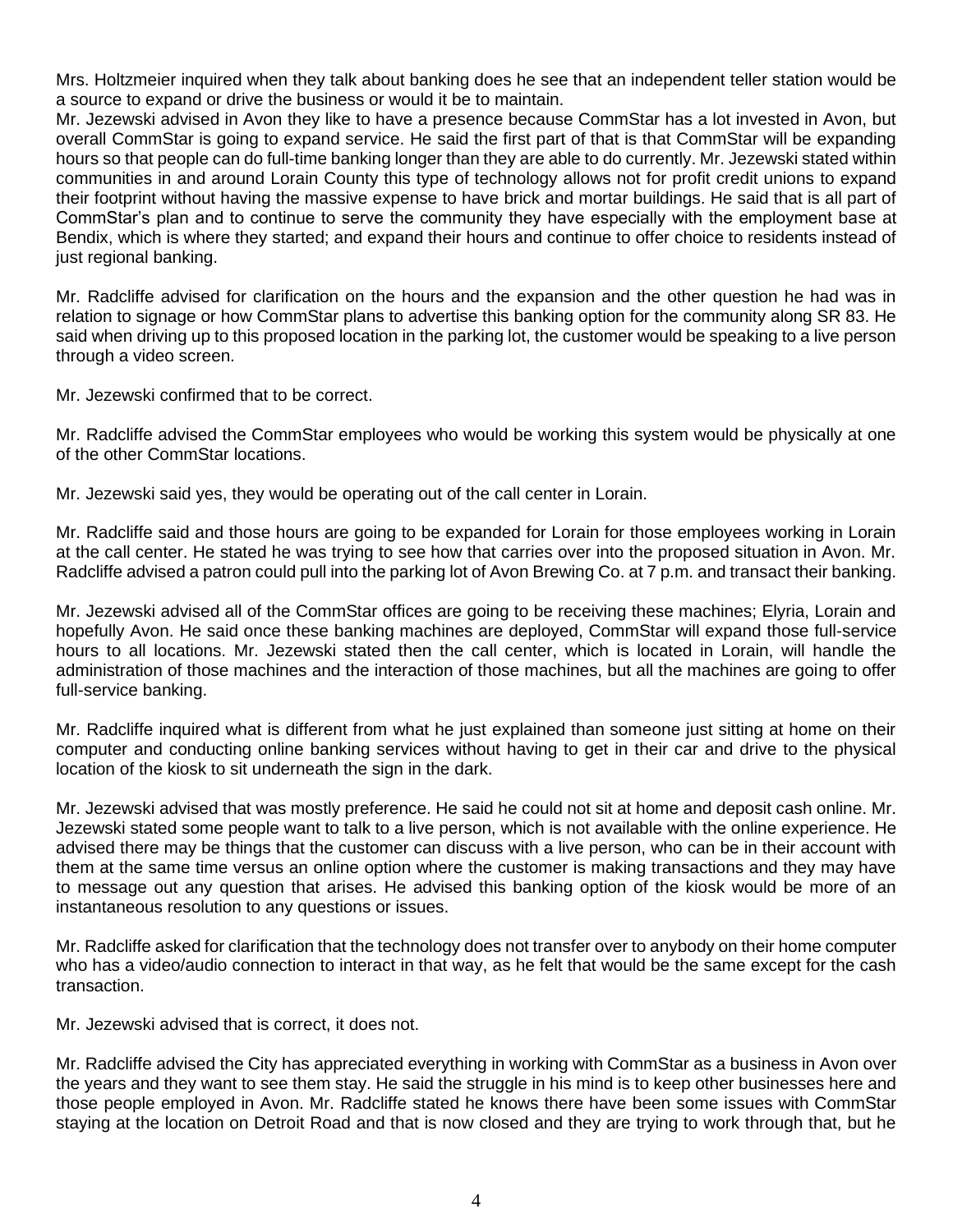Mrs. Holtzmeier inquired when they talk about banking does he see that an independent teller station would be a source to expand or drive the business or would it be to maintain.

Mr. Jezewski advised in Avon they like to have a presence because CommStar has a lot invested in Avon, but overall CommStar is going to expand service. He said the first part of that is that CommStar will be expanding hours so that people can do full-time banking longer than they are able to do currently. Mr. Jezewski stated within communities in and around Lorain County this type of technology allows not for profit credit unions to expand their footprint without having the massive expense to have brick and mortar buildings. He said that is all part of CommStar's plan and to continue to serve the community they have especially with the employment base at Bendix, which is where they started; and expand their hours and continue to offer choice to residents instead of just regional banking.

Mr. Radcliffe advised for clarification on the hours and the expansion and the other question he had was in relation to signage or how CommStar plans to advertise this banking option for the community along SR 83. He said when driving up to this proposed location in the parking lot, the customer would be speaking to a live person through a video screen.

Mr. Jezewski confirmed that to be correct.

Mr. Radcliffe advised the CommStar employees who would be working this system would be physically at one of the other CommStar locations.

Mr. Jezewski said yes, they would be operating out of the call center in Lorain.

Mr. Radcliffe said and those hours are going to be expanded for Lorain for those employees working in Lorain at the call center. He stated he was trying to see how that carries over into the proposed situation in Avon. Mr. Radcliffe advised a patron could pull into the parking lot of Avon Brewing Co. at 7 p.m. and transact their banking.

Mr. Jezewski advised all of the CommStar offices are going to be receiving these machines; Elyria, Lorain and hopefully Avon. He said once these banking machines are deployed, CommStar will expand those full-service hours to all locations. Mr. Jezewski stated then the call center, which is located in Lorain, will handle the administration of those machines and the interaction of those machines, but all the machines are going to offer full-service banking.

Mr. Radcliffe inquired what is different from what he just explained than someone just sitting at home on their computer and conducting online banking services without having to get in their car and drive to the physical location of the kiosk to sit underneath the sign in the dark.

Mr. Jezewski advised that was mostly preference. He said he could not sit at home and deposit cash online. Mr. Jezewski stated some people want to talk to a live person, which is not available with the online experience. He advised there may be things that the customer can discuss with a live person, who can be in their account with them at the same time versus an online option where the customer is making transactions and they may have to message out any question that arises. He advised this banking option of the kiosk would be more of an instantaneous resolution to any questions or issues.

Mr. Radcliffe asked for clarification that the technology does not transfer over to anybody on their home computer who has a video/audio connection to interact in that way, as he felt that would be the same except for the cash transaction.

Mr. Jezewski advised that is correct, it does not.

Mr. Radcliffe advised the City has appreciated everything in working with CommStar as a business in Avon over the years and they want to see them stay. He said the struggle in his mind is to keep other businesses here and those people employed in Avon. Mr. Radcliffe stated he knows there have been some issues with CommStar staying at the location on Detroit Road and that is now closed and they are trying to work through that, but he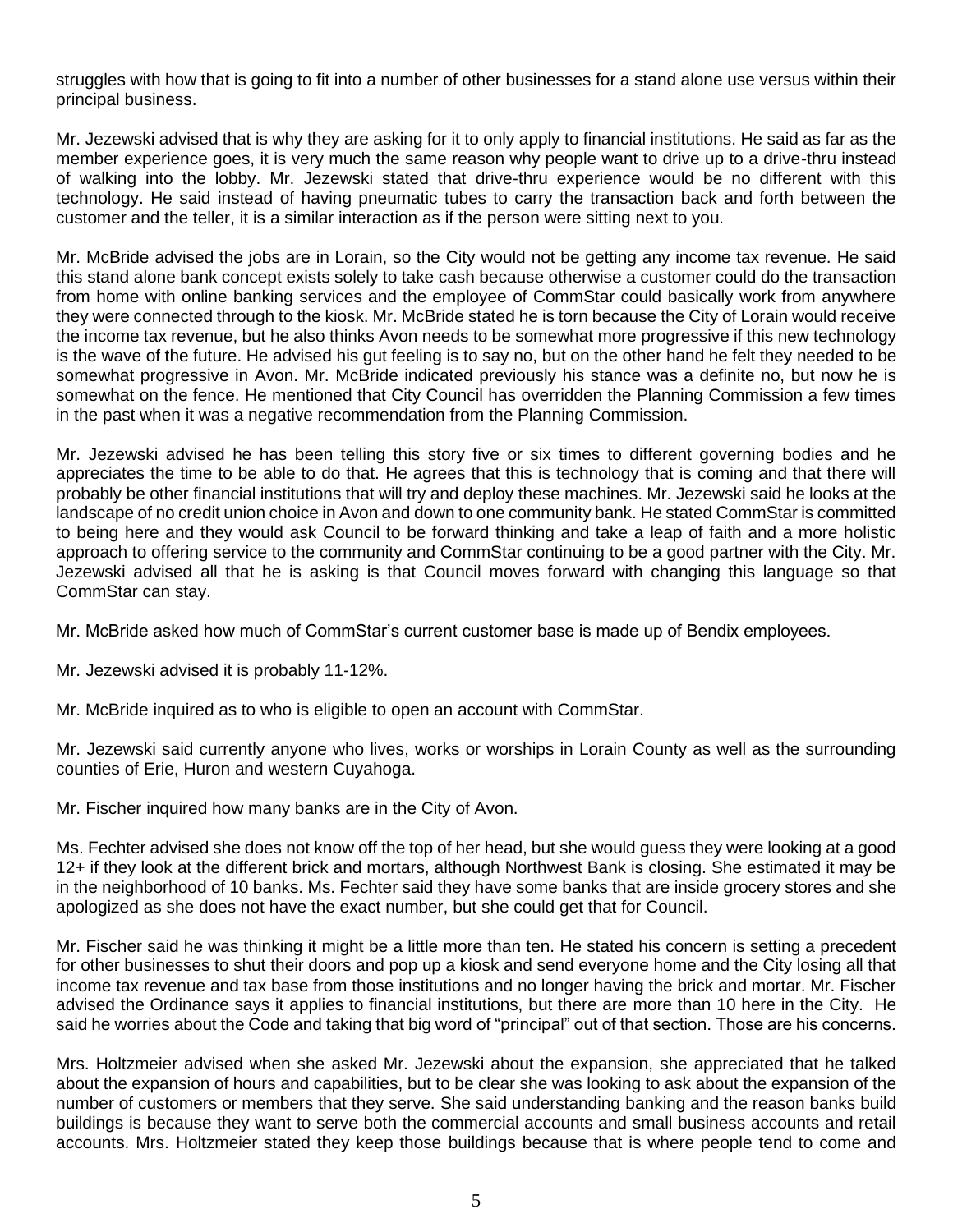struggles with how that is going to fit into a number of other businesses for a stand alone use versus within their principal business.

Mr. Jezewski advised that is why they are asking for it to only apply to financial institutions. He said as far as the member experience goes, it is very much the same reason why people want to drive up to a drive-thru instead of walking into the lobby. Mr. Jezewski stated that drive-thru experience would be no different with this technology. He said instead of having pneumatic tubes to carry the transaction back and forth between the customer and the teller, it is a similar interaction as if the person were sitting next to you.

Mr. McBride advised the jobs are in Lorain, so the City would not be getting any income tax revenue. He said this stand alone bank concept exists solely to take cash because otherwise a customer could do the transaction from home with online banking services and the employee of CommStar could basically work from anywhere they were connected through to the kiosk. Mr. McBride stated he is torn because the City of Lorain would receive the income tax revenue, but he also thinks Avon needs to be somewhat more progressive if this new technology is the wave of the future. He advised his gut feeling is to say no, but on the other hand he felt they needed to be somewhat progressive in Avon. Mr. McBride indicated previously his stance was a definite no, but now he is somewhat on the fence. He mentioned that City Council has overridden the Planning Commission a few times in the past when it was a negative recommendation from the Planning Commission.

Mr. Jezewski advised he has been telling this story five or six times to different governing bodies and he appreciates the time to be able to do that. He agrees that this is technology that is coming and that there will probably be other financial institutions that will try and deploy these machines. Mr. Jezewski said he looks at the landscape of no credit union choice in Avon and down to one community bank. He stated CommStar is committed to being here and they would ask Council to be forward thinking and take a leap of faith and a more holistic approach to offering service to the community and CommStar continuing to be a good partner with the City. Mr. Jezewski advised all that he is asking is that Council moves forward with changing this language so that CommStar can stay.

Mr. McBride asked how much of CommStar's current customer base is made up of Bendix employees.

Mr. Jezewski advised it is probably 11-12%.

Mr. McBride inquired as to who is eligible to open an account with CommStar.

Mr. Jezewski said currently anyone who lives, works or worships in Lorain County as well as the surrounding counties of Erie, Huron and western Cuyahoga.

Mr. Fischer inquired how many banks are in the City of Avon.

Ms. Fechter advised she does not know off the top of her head, but she would guess they were looking at a good 12+ if they look at the different brick and mortars, although Northwest Bank is closing. She estimated it may be in the neighborhood of 10 banks. Ms. Fechter said they have some banks that are inside grocery stores and she apologized as she does not have the exact number, but she could get that for Council.

Mr. Fischer said he was thinking it might be a little more than ten. He stated his concern is setting a precedent for other businesses to shut their doors and pop up a kiosk and send everyone home and the City losing all that income tax revenue and tax base from those institutions and no longer having the brick and mortar. Mr. Fischer advised the Ordinance says it applies to financial institutions, but there are more than 10 here in the City. He said he worries about the Code and taking that big word of "principal" out of that section. Those are his concerns.

Mrs. Holtzmeier advised when she asked Mr. Jezewski about the expansion, she appreciated that he talked about the expansion of hours and capabilities, but to be clear she was looking to ask about the expansion of the number of customers or members that they serve. She said understanding banking and the reason banks build buildings is because they want to serve both the commercial accounts and small business accounts and retail accounts. Mrs. Holtzmeier stated they keep those buildings because that is where people tend to come and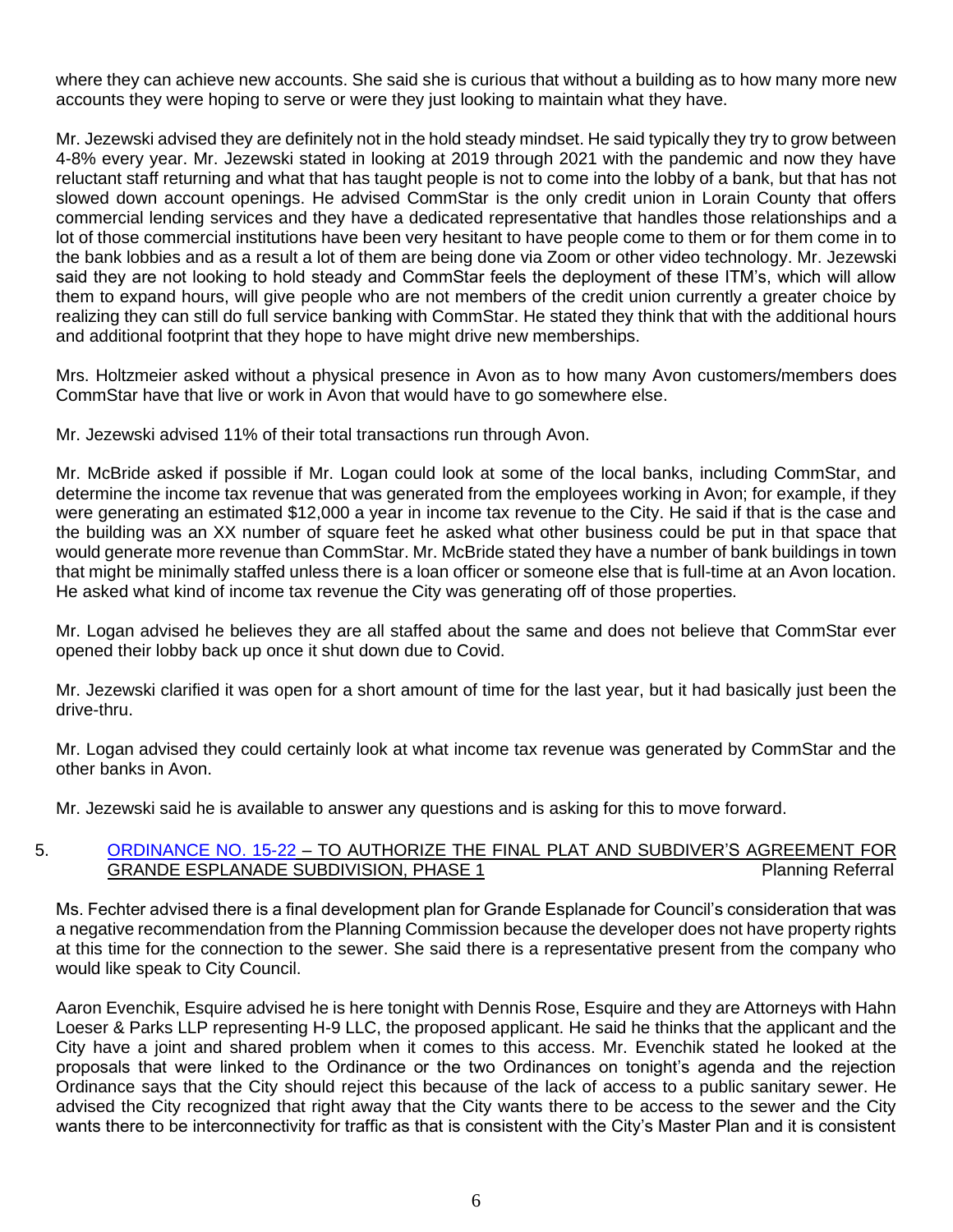where they can achieve new accounts. She said she is curious that without a building as to how many more new accounts they were hoping to serve or were they just looking to maintain what they have.

Mr. Jezewski advised they are definitely not in the hold steady mindset. He said typically they try to grow between 4-8% every year. Mr. Jezewski stated in looking at 2019 through 2021 with the pandemic and now they have reluctant staff returning and what that has taught people is not to come into the lobby of a bank, but that has not slowed down account openings. He advised CommStar is the only credit union in Lorain County that offers commercial lending services and they have a dedicated representative that handles those relationships and a lot of those commercial institutions have been very hesitant to have people come to them or for them come in to the bank lobbies and as a result a lot of them are being done via Zoom or other video technology. Mr. Jezewski said they are not looking to hold steady and CommStar feels the deployment of these ITM's, which will allow them to expand hours, will give people who are not members of the credit union currently a greater choice by realizing they can still do full service banking with CommStar. He stated they think that with the additional hours and additional footprint that they hope to have might drive new memberships.

Mrs. Holtzmeier asked without a physical presence in Avon as to how many Avon customers/members does CommStar have that live or work in Avon that would have to go somewhere else.

Mr. Jezewski advised 11% of their total transactions run through Avon.

Mr. McBride asked if possible if Mr. Logan could look at some of the local banks, including CommStar, and determine the income tax revenue that was generated from the employees working in Avon; for example, if they were generating an estimated \$12,000 a year in income tax revenue to the City. He said if that is the case and the building was an XX number of square feet he asked what other business could be put in that space that would generate more revenue than CommStar. Mr. McBride stated they have a number of bank buildings in town that might be minimally staffed unless there is a loan officer or someone else that is full-time at an Avon location. He asked what kind of income tax revenue the City was generating off of those properties.

Mr. Logan advised he believes they are all staffed about the same and does not believe that CommStar ever opened their lobby back up once it shut down due to Covid.

Mr. Jezewski clarified it was open for a short amount of time for the last year, but it had basically just been the drive-thru.

Mr. Logan advised they could certainly look at what income tax revenue was generated by CommStar and the other banks in Avon.

Mr. Jezewski said he is available to answer any questions and is asking for this to move forward.

## 5. [ORDINANCE NO. 15-22](https://www.cityofavon.com/DocumentCenter/View/7601/Ordinance-No-15-22-Authorizing-Final-Plat-Grande-Esplanade) – TO AUTHORIZE THE FINAL PLAT AND SUBDIVER'S AGREEMENT FOR GRANDE ESPLANADE SUBDIVISION, PHASE 1 Planning Referral

Ms. Fechter advised there is a final development plan for Grande Esplanade for Council's consideration that was a negative recommendation from the Planning Commission because the developer does not have property rights at this time for the connection to the sewer. She said there is a representative present from the company who would like speak to City Council.

Aaron Evenchik, Esquire advised he is here tonight with Dennis Rose, Esquire and they are Attorneys with Hahn Loeser & Parks LLP representing H-9 LLC, the proposed applicant. He said he thinks that the applicant and the City have a joint and shared problem when it comes to this access. Mr. Evenchik stated he looked at the proposals that were linked to the Ordinance or the two Ordinances on tonight's agenda and the rejection Ordinance says that the City should reject this because of the lack of access to a public sanitary sewer. He advised the City recognized that right away that the City wants there to be access to the sewer and the City wants there to be interconnectivity for traffic as that is consistent with the City's Master Plan and it is consistent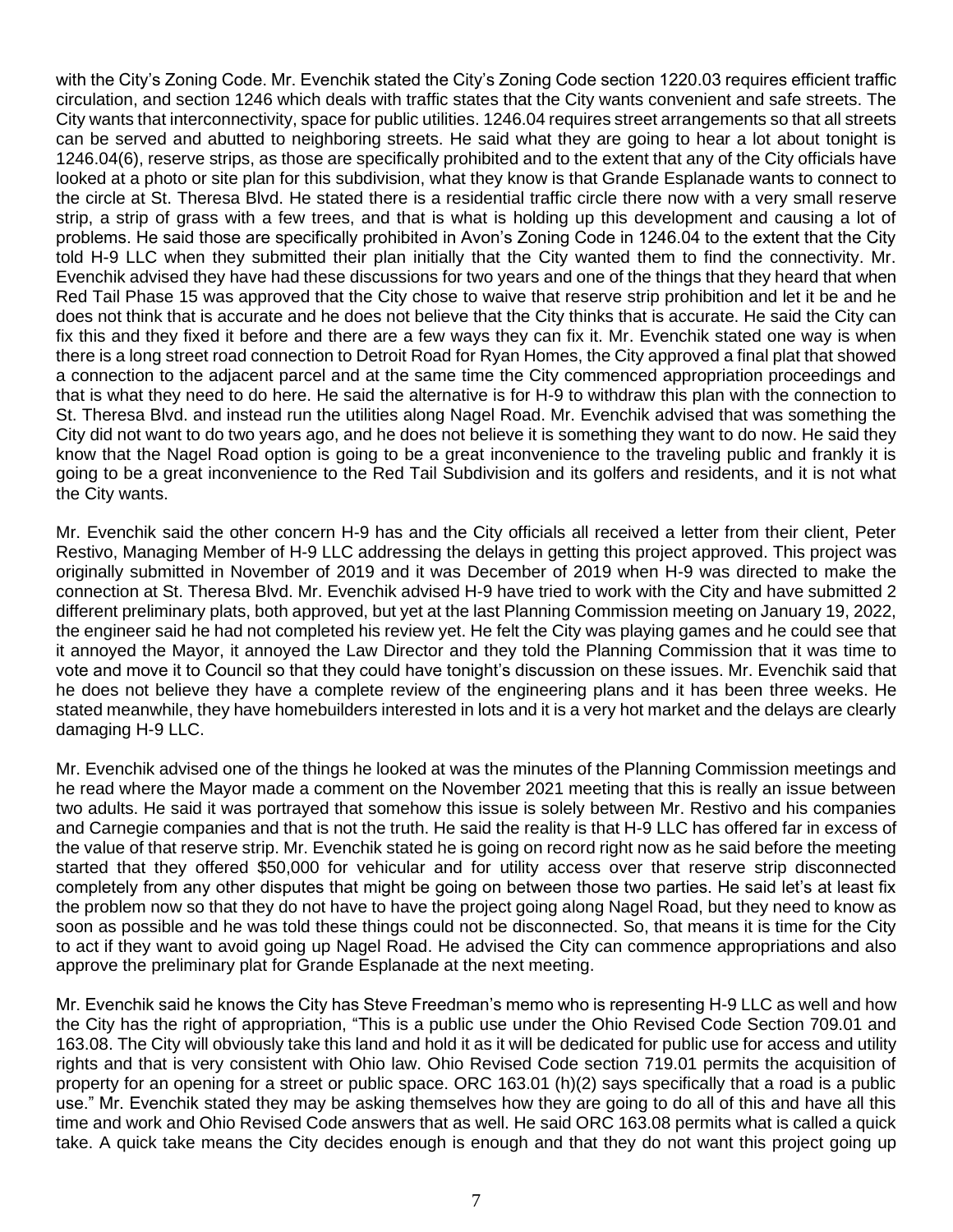with the City's Zoning Code. Mr. Evenchik stated the City's Zoning Code section 1220.03 requires efficient traffic circulation, and section 1246 which deals with traffic states that the City wants convenient and safe streets. The City wants that interconnectivity, space for public utilities. 1246.04 requires street arrangements so that all streets can be served and abutted to neighboring streets. He said what they are going to hear a lot about tonight is 1246.04(6), reserve strips, as those are specifically prohibited and to the extent that any of the City officials have looked at a photo or site plan for this subdivision, what they know is that Grande Esplanade wants to connect to the circle at St. Theresa Blvd. He stated there is a residential traffic circle there now with a very small reserve strip, a strip of grass with a few trees, and that is what is holding up this development and causing a lot of problems. He said those are specifically prohibited in Avon's Zoning Code in 1246.04 to the extent that the City told H-9 LLC when they submitted their plan initially that the City wanted them to find the connectivity. Mr. Evenchik advised they have had these discussions for two years and one of the things that they heard that when Red Tail Phase 15 was approved that the City chose to waive that reserve strip prohibition and let it be and he does not think that is accurate and he does not believe that the City thinks that is accurate. He said the City can fix this and they fixed it before and there are a few ways they can fix it. Mr. Evenchik stated one way is when there is a long street road connection to Detroit Road for Ryan Homes, the City approved a final plat that showed a connection to the adjacent parcel and at the same time the City commenced appropriation proceedings and that is what they need to do here. He said the alternative is for H-9 to withdraw this plan with the connection to St. Theresa Blvd. and instead run the utilities along Nagel Road. Mr. Evenchik advised that was something the City did not want to do two years ago, and he does not believe it is something they want to do now. He said they know that the Nagel Road option is going to be a great inconvenience to the traveling public and frankly it is going to be a great inconvenience to the Red Tail Subdivision and its golfers and residents, and it is not what the City wants.

Mr. Evenchik said the other concern H-9 has and the City officials all received a letter from their client, Peter Restivo, Managing Member of H-9 LLC addressing the delays in getting this project approved. This project was originally submitted in November of 2019 and it was December of 2019 when H-9 was directed to make the connection at St. Theresa Blvd. Mr. Evenchik advised H-9 have tried to work with the City and have submitted 2 different preliminary plats, both approved, but yet at the last Planning Commission meeting on January 19, 2022, the engineer said he had not completed his review yet. He felt the City was playing games and he could see that it annoyed the Mayor, it annoyed the Law Director and they told the Planning Commission that it was time to vote and move it to Council so that they could have tonight's discussion on these issues. Mr. Evenchik said that he does not believe they have a complete review of the engineering plans and it has been three weeks. He stated meanwhile, they have homebuilders interested in lots and it is a very hot market and the delays are clearly damaging H-9 LLC.

Mr. Evenchik advised one of the things he looked at was the minutes of the Planning Commission meetings and he read where the Mayor made a comment on the November 2021 meeting that this is really an issue between two adults. He said it was portrayed that somehow this issue is solely between Mr. Restivo and his companies and Carnegie companies and that is not the truth. He said the reality is that H-9 LLC has offered far in excess of the value of that reserve strip. Mr. Evenchik stated he is going on record right now as he said before the meeting started that they offered \$50,000 for vehicular and for utility access over that reserve strip disconnected completely from any other disputes that might be going on between those two parties. He said let's at least fix the problem now so that they do not have to have the project going along Nagel Road, but they need to know as soon as possible and he was told these things could not be disconnected. So, that means it is time for the City to act if they want to avoid going up Nagel Road. He advised the City can commence appropriations and also approve the preliminary plat for Grande Esplanade at the next meeting.

Mr. Evenchik said he knows the City has Steve Freedman's memo who is representing H-9 LLC as well and how the City has the right of appropriation, "This is a public use under the Ohio Revised Code Section 709.01 and 163.08. The City will obviously take this land and hold it as it will be dedicated for public use for access and utility rights and that is very consistent with Ohio law. Ohio Revised Code section 719.01 permits the acquisition of property for an opening for a street or public space. ORC 163.01 (h)(2) says specifically that a road is a public use." Mr. Evenchik stated they may be asking themselves how they are going to do all of this and have all this time and work and Ohio Revised Code answers that as well. He said ORC 163.08 permits what is called a quick take. A quick take means the City decides enough is enough and that they do not want this project going up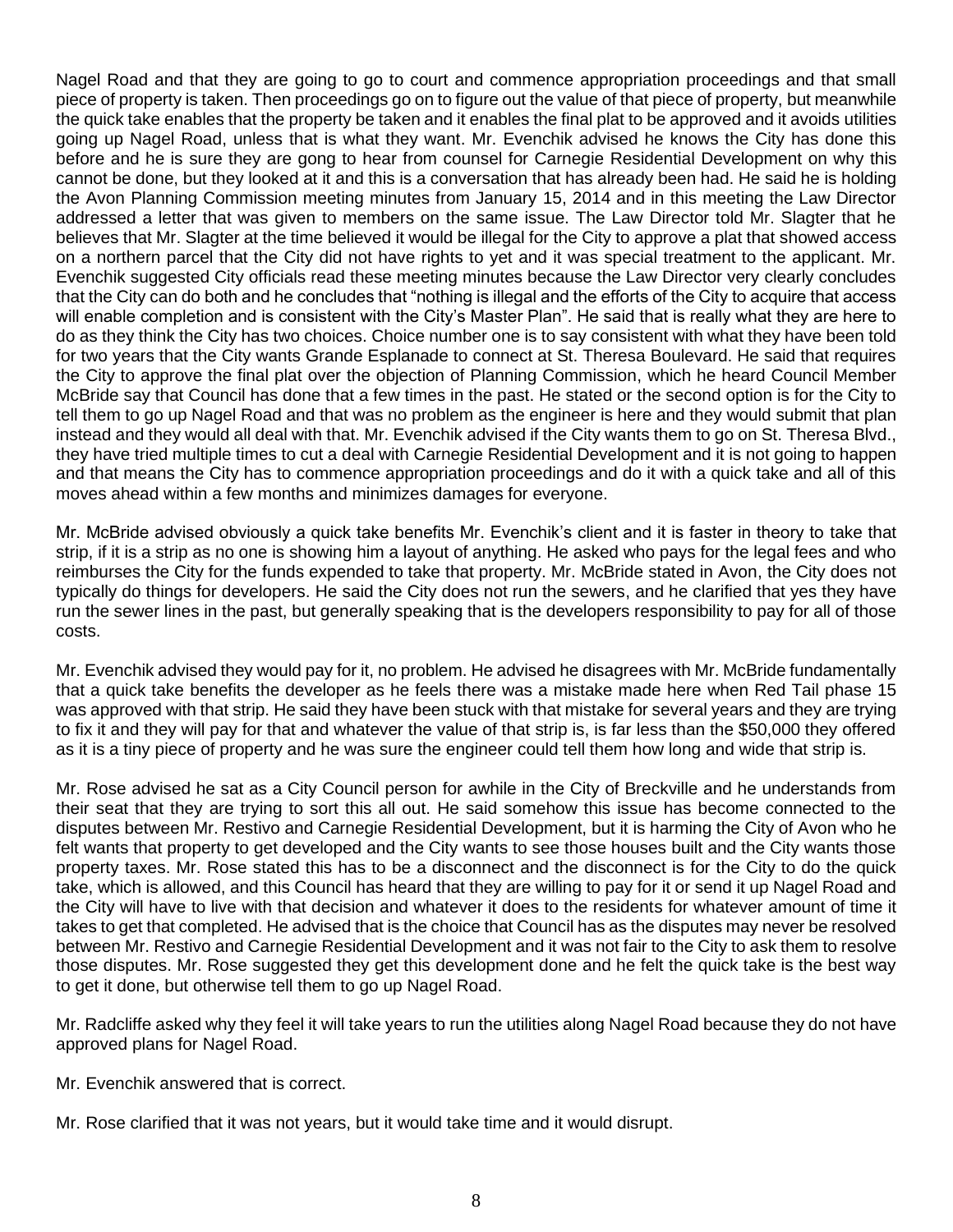Nagel Road and that they are going to go to court and commence appropriation proceedings and that small piece of property is taken. Then proceedings go on to figure out the value of that piece of property, but meanwhile the quick take enables that the property be taken and it enables the final plat to be approved and it avoids utilities going up Nagel Road, unless that is what they want. Mr. Evenchik advised he knows the City has done this before and he is sure they are gong to hear from counsel for Carnegie Residential Development on why this cannot be done, but they looked at it and this is a conversation that has already been had. He said he is holding the Avon Planning Commission meeting minutes from January 15, 2014 and in this meeting the Law Director addressed a letter that was given to members on the same issue. The Law Director told Mr. Slagter that he believes that Mr. Slagter at the time believed it would be illegal for the City to approve a plat that showed access on a northern parcel that the City did not have rights to yet and it was special treatment to the applicant. Mr. Evenchik suggested City officials read these meeting minutes because the Law Director very clearly concludes that the City can do both and he concludes that "nothing is illegal and the efforts of the City to acquire that access will enable completion and is consistent with the City's Master Plan". He said that is really what they are here to do as they think the City has two choices. Choice number one is to say consistent with what they have been told for two years that the City wants Grande Esplanade to connect at St. Theresa Boulevard. He said that requires the City to approve the final plat over the objection of Planning Commission, which he heard Council Member McBride say that Council has done that a few times in the past. He stated or the second option is for the City to tell them to go up Nagel Road and that was no problem as the engineer is here and they would submit that plan instead and they would all deal with that. Mr. Evenchik advised if the City wants them to go on St. Theresa Blvd., they have tried multiple times to cut a deal with Carnegie Residential Development and it is not going to happen and that means the City has to commence appropriation proceedings and do it with a quick take and all of this moves ahead within a few months and minimizes damages for everyone.

Mr. McBride advised obviously a quick take benefits Mr. Evenchik's client and it is faster in theory to take that strip, if it is a strip as no one is showing him a layout of anything. He asked who pays for the legal fees and who reimburses the City for the funds expended to take that property. Mr. McBride stated in Avon, the City does not typically do things for developers. He said the City does not run the sewers, and he clarified that yes they have run the sewer lines in the past, but generally speaking that is the developers responsibility to pay for all of those costs.

Mr. Evenchik advised they would pay for it, no problem. He advised he disagrees with Mr. McBride fundamentally that a quick take benefits the developer as he feels there was a mistake made here when Red Tail phase 15 was approved with that strip. He said they have been stuck with that mistake for several years and they are trying to fix it and they will pay for that and whatever the value of that strip is, is far less than the \$50,000 they offered as it is a tiny piece of property and he was sure the engineer could tell them how long and wide that strip is.

Mr. Rose advised he sat as a City Council person for awhile in the City of Breckville and he understands from their seat that they are trying to sort this all out. He said somehow this issue has become connected to the disputes between Mr. Restivo and Carnegie Residential Development, but it is harming the City of Avon who he felt wants that property to get developed and the City wants to see those houses built and the City wants those property taxes. Mr. Rose stated this has to be a disconnect and the disconnect is for the City to do the quick take, which is allowed, and this Council has heard that they are willing to pay for it or send it up Nagel Road and the City will have to live with that decision and whatever it does to the residents for whatever amount of time it takes to get that completed. He advised that is the choice that Council has as the disputes may never be resolved between Mr. Restivo and Carnegie Residential Development and it was not fair to the City to ask them to resolve those disputes. Mr. Rose suggested they get this development done and he felt the quick take is the best way to get it done, but otherwise tell them to go up Nagel Road.

Mr. Radcliffe asked why they feel it will take years to run the utilities along Nagel Road because they do not have approved plans for Nagel Road.

Mr. Evenchik answered that is correct.

Mr. Rose clarified that it was not years, but it would take time and it would disrupt.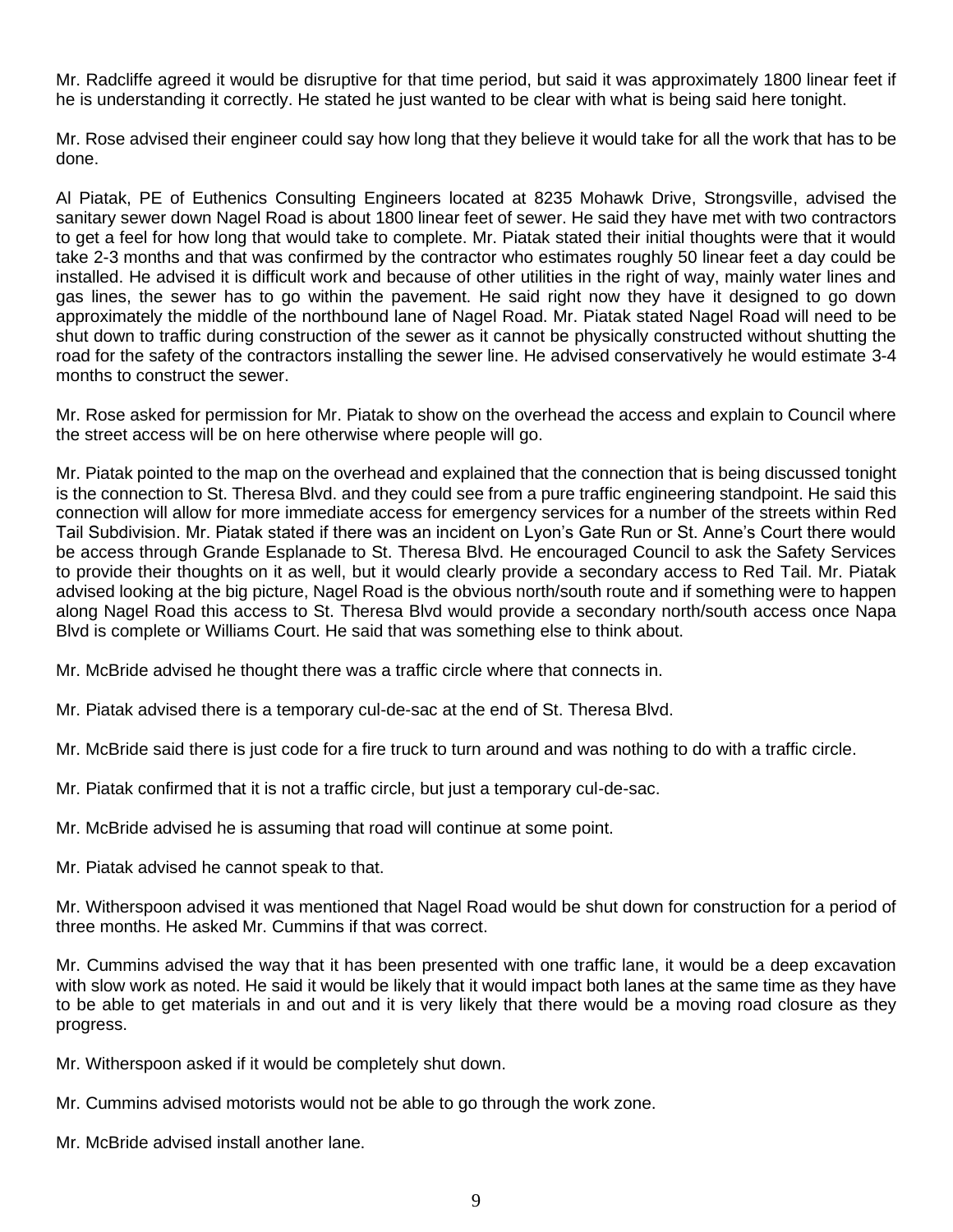Mr. Radcliffe agreed it would be disruptive for that time period, but said it was approximately 1800 linear feet if he is understanding it correctly. He stated he just wanted to be clear with what is being said here tonight.

Mr. Rose advised their engineer could say how long that they believe it would take for all the work that has to be done.

Al Piatak, PE of Euthenics Consulting Engineers located at 8235 Mohawk Drive, Strongsville, advised the sanitary sewer down Nagel Road is about 1800 linear feet of sewer. He said they have met with two contractors to get a feel for how long that would take to complete. Mr. Piatak stated their initial thoughts were that it would take 2-3 months and that was confirmed by the contractor who estimates roughly 50 linear feet a day could be installed. He advised it is difficult work and because of other utilities in the right of way, mainly water lines and gas lines, the sewer has to go within the pavement. He said right now they have it designed to go down approximately the middle of the northbound lane of Nagel Road. Mr. Piatak stated Nagel Road will need to be shut down to traffic during construction of the sewer as it cannot be physically constructed without shutting the road for the safety of the contractors installing the sewer line. He advised conservatively he would estimate 3-4 months to construct the sewer.

Mr. Rose asked for permission for Mr. Piatak to show on the overhead the access and explain to Council where the street access will be on here otherwise where people will go.

Mr. Piatak pointed to the map on the overhead and explained that the connection that is being discussed tonight is the connection to St. Theresa Blvd. and they could see from a pure traffic engineering standpoint. He said this connection will allow for more immediate access for emergency services for a number of the streets within Red Tail Subdivision. Mr. Piatak stated if there was an incident on Lyon's Gate Run or St. Anne's Court there would be access through Grande Esplanade to St. Theresa Blvd. He encouraged Council to ask the Safety Services to provide their thoughts on it as well, but it would clearly provide a secondary access to Red Tail. Mr. Piatak advised looking at the big picture, Nagel Road is the obvious north/south route and if something were to happen along Nagel Road this access to St. Theresa Blvd would provide a secondary north/south access once Napa Blvd is complete or Williams Court. He said that was something else to think about.

Mr. McBride advised he thought there was a traffic circle where that connects in.

Mr. Piatak advised there is a temporary cul-de-sac at the end of St. Theresa Blvd.

Mr. McBride said there is just code for a fire truck to turn around and was nothing to do with a traffic circle.

Mr. Piatak confirmed that it is not a traffic circle, but just a temporary cul-de-sac.

Mr. McBride advised he is assuming that road will continue at some point.

Mr. Piatak advised he cannot speak to that.

Mr. Witherspoon advised it was mentioned that Nagel Road would be shut down for construction for a period of three months. He asked Mr. Cummins if that was correct.

Mr. Cummins advised the way that it has been presented with one traffic lane, it would be a deep excavation with slow work as noted. He said it would be likely that it would impact both lanes at the same time as they have to be able to get materials in and out and it is very likely that there would be a moving road closure as they progress.

Mr. Witherspoon asked if it would be completely shut down.

Mr. Cummins advised motorists would not be able to go through the work zone.

Mr. McBride advised install another lane.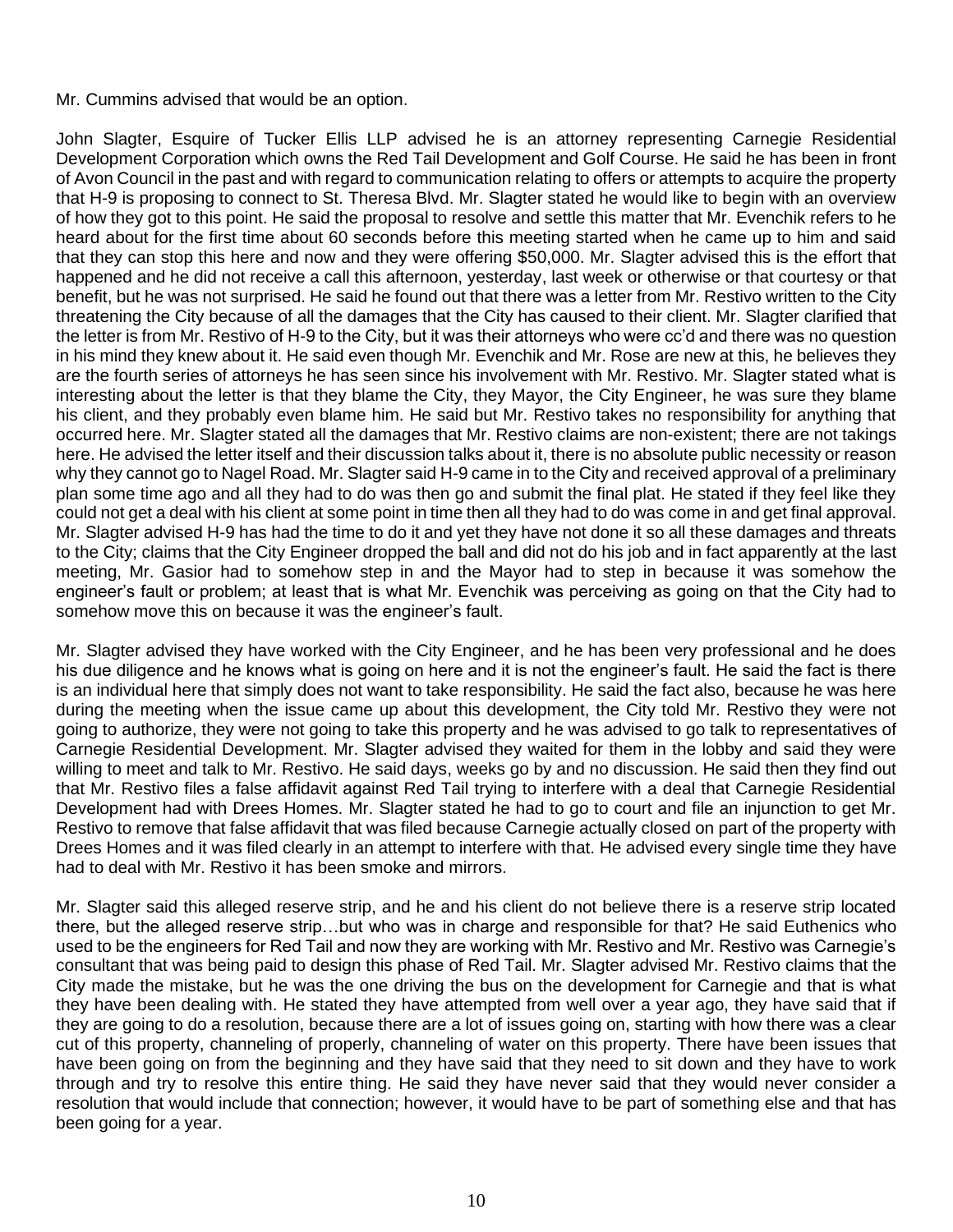#### Mr. Cummins advised that would be an option.

John Slagter, Esquire of Tucker Ellis LLP advised he is an attorney representing Carnegie Residential Development Corporation which owns the Red Tail Development and Golf Course. He said he has been in front of Avon Council in the past and with regard to communication relating to offers or attempts to acquire the property that H-9 is proposing to connect to St. Theresa Blvd. Mr. Slagter stated he would like to begin with an overview of how they got to this point. He said the proposal to resolve and settle this matter that Mr. Evenchik refers to he heard about for the first time about 60 seconds before this meeting started when he came up to him and said that they can stop this here and now and they were offering \$50,000. Mr. Slagter advised this is the effort that happened and he did not receive a call this afternoon, yesterday, last week or otherwise or that courtesy or that benefit, but he was not surprised. He said he found out that there was a letter from Mr. Restivo written to the City threatening the City because of all the damages that the City has caused to their client. Mr. Slagter clarified that the letter is from Mr. Restivo of H-9 to the City, but it was their attorneys who were cc'd and there was no question in his mind they knew about it. He said even though Mr. Evenchik and Mr. Rose are new at this, he believes they are the fourth series of attorneys he has seen since his involvement with Mr. Restivo. Mr. Slagter stated what is interesting about the letter is that they blame the City, they Mayor, the City Engineer, he was sure they blame his client, and they probably even blame him. He said but Mr. Restivo takes no responsibility for anything that occurred here. Mr. Slagter stated all the damages that Mr. Restivo claims are non-existent; there are not takings here. He advised the letter itself and their discussion talks about it, there is no absolute public necessity or reason why they cannot go to Nagel Road. Mr. Slagter said H-9 came in to the City and received approval of a preliminary plan some time ago and all they had to do was then go and submit the final plat. He stated if they feel like they could not get a deal with his client at some point in time then all they had to do was come in and get final approval. Mr. Slagter advised H-9 has had the time to do it and yet they have not done it so all these damages and threats to the City; claims that the City Engineer dropped the ball and did not do his job and in fact apparently at the last meeting, Mr. Gasior had to somehow step in and the Mayor had to step in because it was somehow the engineer's fault or problem; at least that is what Mr. Evenchik was perceiving as going on that the City had to somehow move this on because it was the engineer's fault.

Mr. Slagter advised they have worked with the City Engineer, and he has been very professional and he does his due diligence and he knows what is going on here and it is not the engineer's fault. He said the fact is there is an individual here that simply does not want to take responsibility. He said the fact also, because he was here during the meeting when the issue came up about this development, the City told Mr. Restivo they were not going to authorize, they were not going to take this property and he was advised to go talk to representatives of Carnegie Residential Development. Mr. Slagter advised they waited for them in the lobby and said they were willing to meet and talk to Mr. Restivo. He said days, weeks go by and no discussion. He said then they find out that Mr. Restivo files a false affidavit against Red Tail trying to interfere with a deal that Carnegie Residential Development had with Drees Homes. Mr. Slagter stated he had to go to court and file an injunction to get Mr. Restivo to remove that false affidavit that was filed because Carnegie actually closed on part of the property with Drees Homes and it was filed clearly in an attempt to interfere with that. He advised every single time they have had to deal with Mr. Restivo it has been smoke and mirrors.

Mr. Slagter said this alleged reserve strip, and he and his client do not believe there is a reserve strip located there, but the alleged reserve strip…but who was in charge and responsible for that? He said Euthenics who used to be the engineers for Red Tail and now they are working with Mr. Restivo and Mr. Restivo was Carnegie's consultant that was being paid to design this phase of Red Tail. Mr. Slagter advised Mr. Restivo claims that the City made the mistake, but he was the one driving the bus on the development for Carnegie and that is what they have been dealing with. He stated they have attempted from well over a year ago, they have said that if they are going to do a resolution, because there are a lot of issues going on, starting with how there was a clear cut of this property, channeling of properly, channeling of water on this property. There have been issues that have been going on from the beginning and they have said that they need to sit down and they have to work through and try to resolve this entire thing. He said they have never said that they would never consider a resolution that would include that connection; however, it would have to be part of something else and that has been going for a year.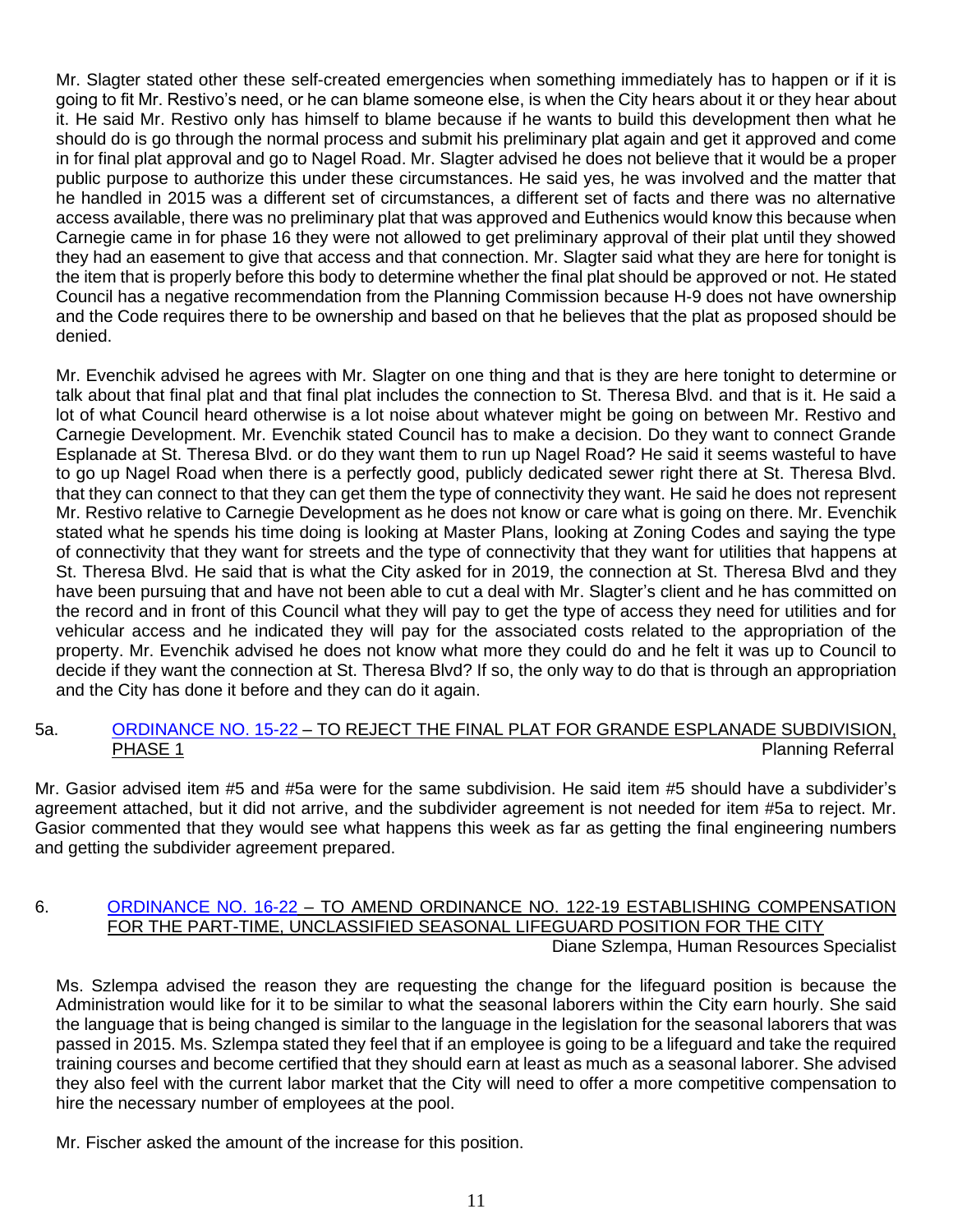Mr. Slagter stated other these self-created emergencies when something immediately has to happen or if it is going to fit Mr. Restivo's need, or he can blame someone else, is when the City hears about it or they hear about it. He said Mr. Restivo only has himself to blame because if he wants to build this development then what he should do is go through the normal process and submit his preliminary plat again and get it approved and come in for final plat approval and go to Nagel Road. Mr. Slagter advised he does not believe that it would be a proper public purpose to authorize this under these circumstances. He said yes, he was involved and the matter that he handled in 2015 was a different set of circumstances, a different set of facts and there was no alternative access available, there was no preliminary plat that was approved and Euthenics would know this because when Carnegie came in for phase 16 they were not allowed to get preliminary approval of their plat until they showed they had an easement to give that access and that connection. Mr. Slagter said what they are here for tonight is the item that is properly before this body to determine whether the final plat should be approved or not. He stated Council has a negative recommendation from the Planning Commission because H-9 does not have ownership and the Code requires there to be ownership and based on that he believes that the plat as proposed should be denied.

Mr. Evenchik advised he agrees with Mr. Slagter on one thing and that is they are here tonight to determine or talk about that final plat and that final plat includes the connection to St. Theresa Blvd. and that is it. He said a lot of what Council heard otherwise is a lot noise about whatever might be going on between Mr. Restivo and Carnegie Development. Mr. Evenchik stated Council has to make a decision. Do they want to connect Grande Esplanade at St. Theresa Blvd. or do they want them to run up Nagel Road? He said it seems wasteful to have to go up Nagel Road when there is a perfectly good, publicly dedicated sewer right there at St. Theresa Blvd. that they can connect to that they can get them the type of connectivity they want. He said he does not represent Mr. Restivo relative to Carnegie Development as he does not know or care what is going on there. Mr. Evenchik stated what he spends his time doing is looking at Master Plans, looking at Zoning Codes and saying the type of connectivity that they want for streets and the type of connectivity that they want for utilities that happens at St. Theresa Blvd. He said that is what the City asked for in 2019, the connection at St. Theresa Blvd and they have been pursuing that and have not been able to cut a deal with Mr. Slagter's client and he has committed on the record and in front of this Council what they will pay to get the type of access they need for utilities and for vehicular access and he indicated they will pay for the associated costs related to the appropriation of the property. Mr. Evenchik advised he does not know what more they could do and he felt it was up to Council to decide if they want the connection at St. Theresa Blvd? If so, the only way to do that is through an appropriation and the City has done it before and they can do it again.

### 5a. [ORDINANCE NO. 15-22](https://www.cityofavon.com/DocumentCenter/View/7602/Ordinance-No-15-22-Rejecting-Final-Plat-Grande-Esplanade) – TO REJECT THE FINAL PLAT FOR GRANDE ESPLANADE SUBDIVISION, PHASE 1 **PHASE 1** PHASE 1

Mr. Gasior advised item #5 and #5a were for the same subdivision. He said item #5 should have a subdivider's agreement attached, but it did not arrive, and the subdivider agreement is not needed for item #5a to reject. Mr. Gasior commented that they would see what happens this week as far as getting the final engineering numbers and getting the subdivider agreement prepared.

#### 6. [ORDINANCE NO. 16-22](https://www.cityofavon.com/DocumentCenter/View/7603/Ordinance-No-16-22---PT--Lifeguard---Pay) – TO AMEND ORDINANCE NO. 122-19 ESTABLISHING COMPENSATION FOR THE PART-TIME, UNCLASSIFIED SEASONAL LIFEGUARD POSITION FOR THE CITY Diane Szlempa, Human Resources Specialist

Ms. Szlempa advised the reason they are requesting the change for the lifeguard position is because the Administration would like for it to be similar to what the seasonal laborers within the City earn hourly. She said the language that is being changed is similar to the language in the legislation for the seasonal laborers that was passed in 2015. Ms. Szlempa stated they feel that if an employee is going to be a lifeguard and take the required training courses and become certified that they should earn at least as much as a seasonal laborer. She advised they also feel with the current labor market that the City will need to offer a more competitive compensation to hire the necessary number of employees at the pool.

Mr. Fischer asked the amount of the increase for this position.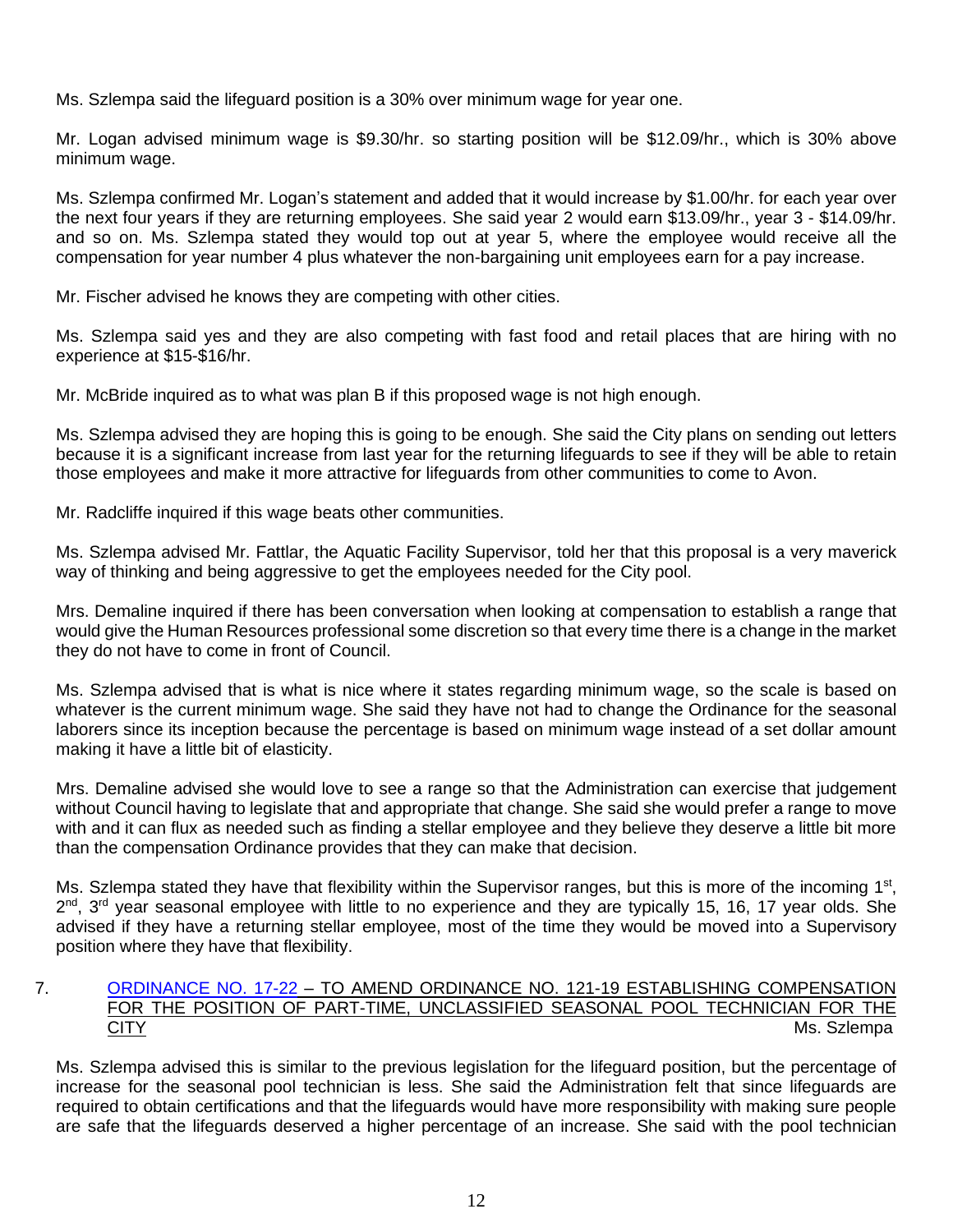Ms. Szlempa said the lifeguard position is a 30% over minimum wage for year one.

Mr. Logan advised minimum wage is \$9.30/hr. so starting position will be \$12.09/hr., which is 30% above minimum wage.

Ms. Szlempa confirmed Mr. Logan's statement and added that it would increase by \$1.00/hr. for each year over the next four years if they are returning employees. She said year 2 would earn \$13.09/hr., year 3 - \$14.09/hr. and so on. Ms. Szlempa stated they would top out at year 5, where the employee would receive all the compensation for year number 4 plus whatever the non-bargaining unit employees earn for a pay increase.

Mr. Fischer advised he knows they are competing with other cities.

Ms. Szlempa said yes and they are also competing with fast food and retail places that are hiring with no experience at \$15-\$16/hr.

Mr. McBride inquired as to what was plan B if this proposed wage is not high enough.

Ms. Szlempa advised they are hoping this is going to be enough. She said the City plans on sending out letters because it is a significant increase from last year for the returning lifeguards to see if they will be able to retain those employees and make it more attractive for lifeguards from other communities to come to Avon.

Mr. Radcliffe inquired if this wage beats other communities.

Ms. Szlempa advised Mr. Fattlar, the Aquatic Facility Supervisor, told her that this proposal is a very maverick way of thinking and being aggressive to get the employees needed for the City pool.

Mrs. Demaline inquired if there has been conversation when looking at compensation to establish a range that would give the Human Resources professional some discretion so that every time there is a change in the market they do not have to come in front of Council.

Ms. Szlempa advised that is what is nice where it states regarding minimum wage, so the scale is based on whatever is the current minimum wage. She said they have not had to change the Ordinance for the seasonal laborers since its inception because the percentage is based on minimum wage instead of a set dollar amount making it have a little bit of elasticity.

Mrs. Demaline advised she would love to see a range so that the Administration can exercise that judgement without Council having to legislate that and appropriate that change. She said she would prefer a range to move with and it can flux as needed such as finding a stellar employee and they believe they deserve a little bit more than the compensation Ordinance provides that they can make that decision.

Ms. Szlempa stated they have that flexibility within the Supervisor ranges, but this is more of the incoming 1<sup>st</sup>, 2<sup>nd</sup>, 3<sup>rd</sup> year seasonal employee with little to no experience and they are typically 15, 16, 17 year olds. She advised if they have a returning stellar employee, most of the time they would be moved into a Supervisory position where they have that flexibility.

## 7. [ORDINANCE NO. 17-22](https://www.cityofavon.com/DocumentCenter/View/7604/Ordinance-No-17-22---Amend----PT--Pool-Tech---Pay) – TO AMEND ORDINANCE NO. 121-19 ESTABLISHING COMPENSATION FOR THE POSITION OF PART-TIME, UNCLASSIFIED SEASONAL POOL TECHNICIAN FOR THE **CITY** Ms. Szlempa

Ms. Szlempa advised this is similar to the previous legislation for the lifeguard position, but the percentage of increase for the seasonal pool technician is less. She said the Administration felt that since lifeguards are required to obtain certifications and that the lifeguards would have more responsibility with making sure people are safe that the lifeguards deserved a higher percentage of an increase. She said with the pool technician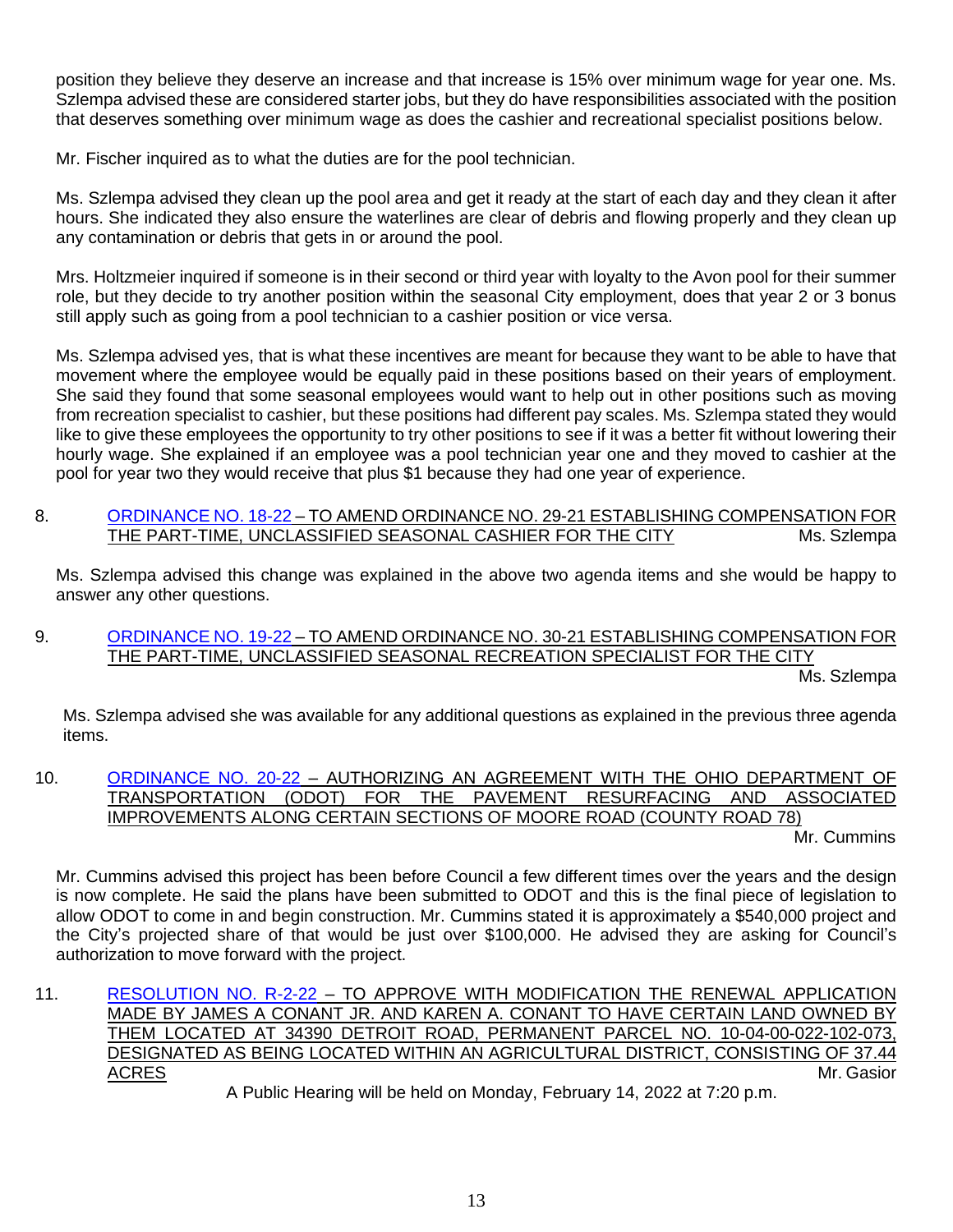position they believe they deserve an increase and that increase is 15% over minimum wage for year one. Ms. Szlempa advised these are considered starter jobs, but they do have responsibilities associated with the position that deserves something over minimum wage as does the cashier and recreational specialist positions below.

Mr. Fischer inquired as to what the duties are for the pool technician.

Ms. Szlempa advised they clean up the pool area and get it ready at the start of each day and they clean it after hours. She indicated they also ensure the waterlines are clear of debris and flowing properly and they clean up any contamination or debris that gets in or around the pool.

Mrs. Holtzmeier inquired if someone is in their second or third year with loyalty to the Avon pool for their summer role, but they decide to try another position within the seasonal City employment, does that year 2 or 3 bonus still apply such as going from a pool technician to a cashier position or vice versa.

Ms. Szlempa advised yes, that is what these incentives are meant for because they want to be able to have that movement where the employee would be equally paid in these positions based on their years of employment. She said they found that some seasonal employees would want to help out in other positions such as moving from recreation specialist to cashier, but these positions had different pay scales. Ms. Szlempa stated they would like to give these employees the opportunity to try other positions to see if it was a better fit without lowering their hourly wage. She explained if an employee was a pool technician year one and they moved to cashier at the pool for year two they would receive that plus \$1 because they had one year of experience.

8. [ORDINANCE NO. 18-22](https://www.cityofavon.com/DocumentCenter/View/7605/Ordinance-No-18-22-Amend-PT--Seasonal-Cashier--Pay) – TO AMEND ORDINANCE NO. 29-21 ESTABLISHING COMPENSATION FOR THE PART-TIME, UNCLASSIFIED SEASONAL CASHIER FOR THE CITY Ms. Szlempa

Ms. Szlempa advised this change was explained in the above two agenda items and she would be happy to answer any other questions.

9. [ORDINANCE NO. 19-22](https://www.cityofavon.com/DocumentCenter/View/7606/Ordinance-No-19-22--Amend-PT--Season-Recreation-Specialist--Pay) – TO AMEND ORDINANCE NO. 30-21 ESTABLISHING COMPENSATION FOR THE PART-TIME, UNCLASSIFIED SEASONAL RECREATION SPECIALIST FOR THE CITY Ms. Szlempa

Ms. Szlempa advised she was available for any additional questions as explained in the previous three agenda items.

10. [ORDINANCE NO. 20-22](https://www.cityofavon.com/DocumentCenter/View/7600/Ordinance-No-20-22-ODOT-Moore-Road-Paving-Final) – AUTHORIZING AN AGREEMENT WITH THE OHIO DEPARTMENT OF TRANSPORTATION (ODOT) FOR THE PAVEMENT RESURFACING AND ASSOCIATED IMPROVEMENTS ALONG CERTAIN SECTIONS OF MOORE ROAD (COUNTY ROAD 78)

Mr. Cummins

Mr. Cummins advised this project has been before Council a few different times over the years and the design is now complete. He said the plans have been submitted to ODOT and this is the final piece of legislation to allow ODOT to come in and begin construction. Mr. Cummins stated it is approximately a \$540,000 project and the City's projected share of that would be just over \$100,000. He advised they are asking for Council's authorization to move forward with the project.

11. [RESOLUTION NO. R-2-22](https://www.cityofavon.com/DocumentCenter/View/7609/Resolution-No-R-2-22---Conant---Agr-Dist) – TO APPROVE WITH MODIFICATION THE RENEWAL APPLICATION MADE BY JAMES A CONANT JR. AND KAREN A. CONANT TO HAVE CERTAIN LAND OWNED BY THEM LOCATED AT 34390 DETROIT ROAD, PERMANENT PARCEL NO. 10-04-00-022-102-073, DESIGNATED AS BEING LOCATED WITHIN AN AGRICULTURAL DISTRICT, CONSISTING OF 37.44 ACRES Mr. Gasior A Public Hearing will be held on Monday, February 14, 2022 at 7:20 p.m.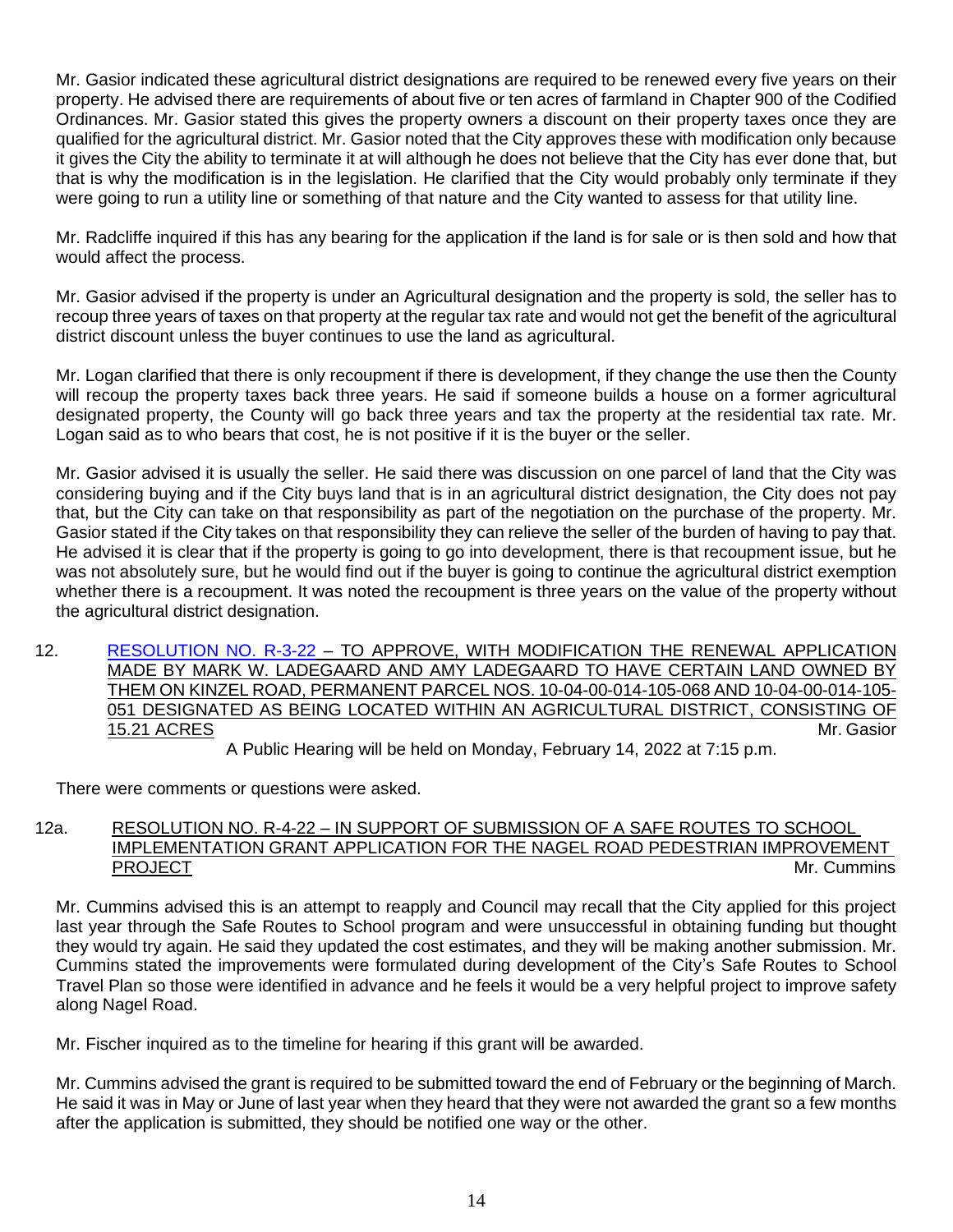Mr. Gasior indicated these agricultural district designations are required to be renewed every five years on their property. He advised there are requirements of about five or ten acres of farmland in Chapter 900 of the Codified Ordinances. Mr. Gasior stated this gives the property owners a discount on their property taxes once they are qualified for the agricultural district. Mr. Gasior noted that the City approves these with modification only because it gives the City the ability to terminate it at will although he does not believe that the City has ever done that, but that is why the modification is in the legislation. He clarified that the City would probably only terminate if they were going to run a utility line or something of that nature and the City wanted to assess for that utility line.

Mr. Radcliffe inquired if this has any bearing for the application if the land is for sale or is then sold and how that would affect the process.

Mr. Gasior advised if the property is under an Agricultural designation and the property is sold, the seller has to recoup three years of taxes on that property at the regular tax rate and would not get the benefit of the agricultural district discount unless the buyer continues to use the land as agricultural.

Mr. Logan clarified that there is only recoupment if there is development, if they change the use then the County will recoup the property taxes back three years. He said if someone builds a house on a former agricultural designated property, the County will go back three years and tax the property at the residential tax rate. Mr. Logan said as to who bears that cost, he is not positive if it is the buyer or the seller.

Mr. Gasior advised it is usually the seller. He said there was discussion on one parcel of land that the City was considering buying and if the City buys land that is in an agricultural district designation, the City does not pay that, but the City can take on that responsibility as part of the negotiation on the purchase of the property. Mr. Gasior stated if the City takes on that responsibility they can relieve the seller of the burden of having to pay that. He advised it is clear that if the property is going to go into development, there is that recoupment issue, but he was not absolutely sure, but he would find out if the buyer is going to continue the agricultural district exemption whether there is a recoupment. It was noted the recoupment is three years on the value of the property without the agricultural district designation.

12. [RESOLUTION NO. R-3-22](https://www.cityofavon.com/DocumentCenter/View/7610/Resolution-No-R-3-22--Ladegaard---Agr-Dist-copy) – TO APPROVE, WITH MODIFICATION THE RENEWAL APPLICATION MADE BY MARK W. LADEGAARD AND AMY LADEGAARD TO HAVE CERTAIN LAND OWNED BY THEM ON KINZEL ROAD, PERMANENT PARCEL NOS. 10-04-00-014-105-068 AND 10-04-00-014-105- 051 DESIGNATED AS BEING LOCATED WITHIN AN AGRICULTURAL DISTRICT, CONSISTING OF 15.21 ACRES Mr. Gasior

A Public Hearing will be held on Monday, February 14, 2022 at 7:15 p.m.

There were comments or questions were asked.

### 12a. RESOLUTION NO. R-4-22 – IN SUPPORT OF SUBMISSION OF A SAFE ROUTES TO SCHOOL IMPLEMENTATION GRANT APPLICATION FOR THE NAGEL ROAD PEDESTRIAN IMPROVEMENT PROJECT **Example 2008** The contract of the contract of the contract of the contract of the contract of the contract of the contract of the contract of the contract of the contract of the contract of the contract of the con

Mr. Cummins advised this is an attempt to reapply and Council may recall that the City applied for this project last year through the Safe Routes to School program and were unsuccessful in obtaining funding but thought they would try again. He said they updated the cost estimates, and they will be making another submission. Mr. Cummins stated the improvements were formulated during development of the City's Safe Routes to School Travel Plan so those were identified in advance and he feels it would be a very helpful project to improve safety along Nagel Road.

Mr. Fischer inquired as to the timeline for hearing if this grant will be awarded.

Mr. Cummins advised the grant is required to be submitted toward the end of February or the beginning of March. He said it was in May or June of last year when they heard that they were not awarded the grant so a few months after the application is submitted, they should be notified one way or the other.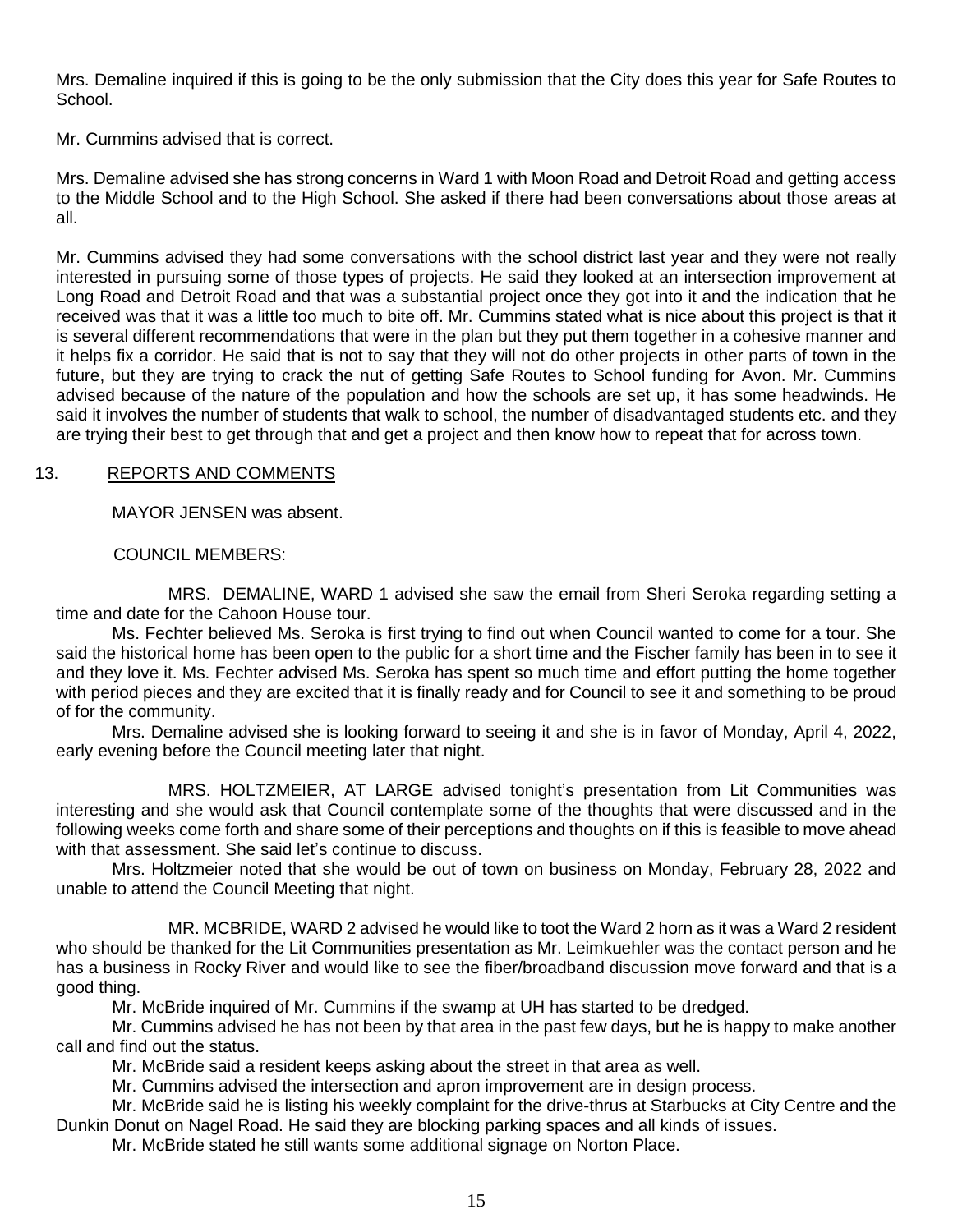Mrs. Demaline inquired if this is going to be the only submission that the City does this year for Safe Routes to School.

Mr. Cummins advised that is correct.

Mrs. Demaline advised she has strong concerns in Ward 1 with Moon Road and Detroit Road and getting access to the Middle School and to the High School. She asked if there had been conversations about those areas at all.

Mr. Cummins advised they had some conversations with the school district last year and they were not really interested in pursuing some of those types of projects. He said they looked at an intersection improvement at Long Road and Detroit Road and that was a substantial project once they got into it and the indication that he received was that it was a little too much to bite off. Mr. Cummins stated what is nice about this project is that it is several different recommendations that were in the plan but they put them together in a cohesive manner and it helps fix a corridor. He said that is not to say that they will not do other projects in other parts of town in the future, but they are trying to crack the nut of getting Safe Routes to School funding for Avon. Mr. Cummins advised because of the nature of the population and how the schools are set up, it has some headwinds. He said it involves the number of students that walk to school, the number of disadvantaged students etc. and they are trying their best to get through that and get a project and then know how to repeat that for across town.

## 13. REPORTS AND COMMENTS

MAYOR JENSEN was absent.

COUNCIL MEMBERS:

MRS. DEMALINE, WARD 1 advised she saw the email from Sheri Seroka regarding setting a time and date for the Cahoon House tour.

Ms. Fechter believed Ms. Seroka is first trying to find out when Council wanted to come for a tour. She said the historical home has been open to the public for a short time and the Fischer family has been in to see it and they love it. Ms. Fechter advised Ms. Seroka has spent so much time and effort putting the home together with period pieces and they are excited that it is finally ready and for Council to see it and something to be proud of for the community.

Mrs. Demaline advised she is looking forward to seeing it and she is in favor of Monday, April 4, 2022, early evening before the Council meeting later that night.

MRS. HOLTZMEIER, AT LARGE advised tonight's presentation from Lit Communities was interesting and she would ask that Council contemplate some of the thoughts that were discussed and in the following weeks come forth and share some of their perceptions and thoughts on if this is feasible to move ahead with that assessment. She said let's continue to discuss.

Mrs. Holtzmeier noted that she would be out of town on business on Monday, February 28, 2022 and unable to attend the Council Meeting that night.

MR. MCBRIDE, WARD 2 advised he would like to toot the Ward 2 horn as it was a Ward 2 resident who should be thanked for the Lit Communities presentation as Mr. Leimkuehler was the contact person and he has a business in Rocky River and would like to see the fiber/broadband discussion move forward and that is a good thing.

Mr. McBride inquired of Mr. Cummins if the swamp at UH has started to be dredged.

Mr. Cummins advised he has not been by that area in the past few days, but he is happy to make another call and find out the status.

Mr. McBride said a resident keeps asking about the street in that area as well.

Mr. Cummins advised the intersection and apron improvement are in design process.

Mr. McBride said he is listing his weekly complaint for the drive-thrus at Starbucks at City Centre and the Dunkin Donut on Nagel Road. He said they are blocking parking spaces and all kinds of issues.

Mr. McBride stated he still wants some additional signage on Norton Place.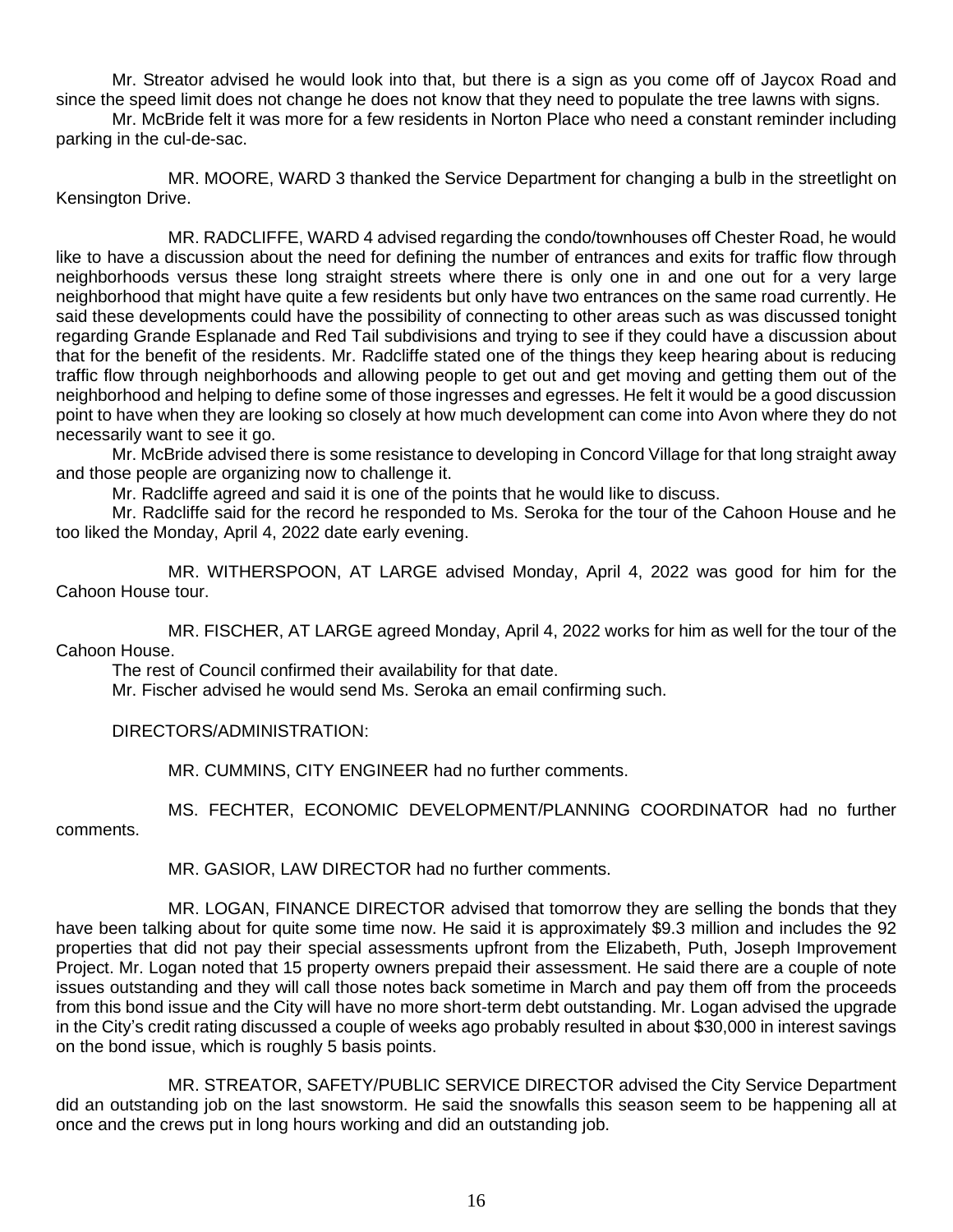Mr. Streator advised he would look into that, but there is a sign as you come off of Jaycox Road and since the speed limit does not change he does not know that they need to populate the tree lawns with signs.

Mr. McBride felt it was more for a few residents in Norton Place who need a constant reminder including parking in the cul-de-sac.

MR. MOORE, WARD 3 thanked the Service Department for changing a bulb in the streetlight on Kensington Drive.

MR. RADCLIFFE, WARD 4 advised regarding the condo/townhouses off Chester Road, he would like to have a discussion about the need for defining the number of entrances and exits for traffic flow through neighborhoods versus these long straight streets where there is only one in and one out for a very large neighborhood that might have quite a few residents but only have two entrances on the same road currently. He said these developments could have the possibility of connecting to other areas such as was discussed tonight regarding Grande Esplanade and Red Tail subdivisions and trying to see if they could have a discussion about that for the benefit of the residents. Mr. Radcliffe stated one of the things they keep hearing about is reducing traffic flow through neighborhoods and allowing people to get out and get moving and getting them out of the neighborhood and helping to define some of those ingresses and egresses. He felt it would be a good discussion point to have when they are looking so closely at how much development can come into Avon where they do not necessarily want to see it go.

Mr. McBride advised there is some resistance to developing in Concord Village for that long straight away and those people are organizing now to challenge it.

Mr. Radcliffe agreed and said it is one of the points that he would like to discuss.

Mr. Radcliffe said for the record he responded to Ms. Seroka for the tour of the Cahoon House and he too liked the Monday, April 4, 2022 date early evening.

MR. WITHERSPOON, AT LARGE advised Monday, April 4, 2022 was good for him for the Cahoon House tour.

MR. FISCHER, AT LARGE agreed Monday, April 4, 2022 works for him as well for the tour of the Cahoon House.

The rest of Council confirmed their availability for that date.

Mr. Fischer advised he would send Ms. Seroka an email confirming such.

DIRECTORS/ADMINISTRATION:

MR. CUMMINS, CITY ENGINEER had no further comments.

MS. FECHTER, ECONOMIC DEVELOPMENT/PLANNING COORDINATOR had no further

comments.

MR. GASIOR, LAW DIRECTOR had no further comments.

MR. LOGAN, FINANCE DIRECTOR advised that tomorrow they are selling the bonds that they have been talking about for quite some time now. He said it is approximately \$9.3 million and includes the 92 properties that did not pay their special assessments upfront from the Elizabeth, Puth, Joseph Improvement Project. Mr. Logan noted that 15 property owners prepaid their assessment. He said there are a couple of note issues outstanding and they will call those notes back sometime in March and pay them off from the proceeds from this bond issue and the City will have no more short-term debt outstanding. Mr. Logan advised the upgrade in the City's credit rating discussed a couple of weeks ago probably resulted in about \$30,000 in interest savings on the bond issue, which is roughly 5 basis points.

MR. STREATOR, SAFETY/PUBLIC SERVICE DIRECTOR advised the City Service Department did an outstanding job on the last snowstorm. He said the snowfalls this season seem to be happening all at once and the crews put in long hours working and did an outstanding job.